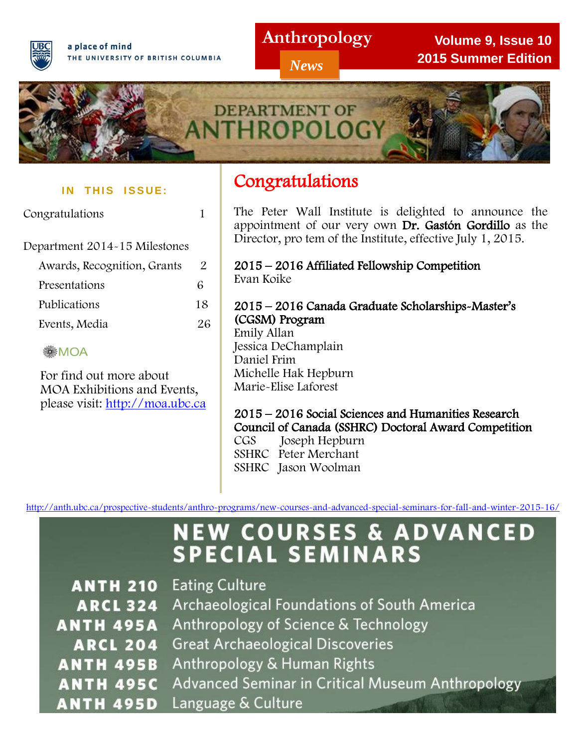

a place of mind THE UNIVERSITY OF BRITISH COLUMBIA

# **Anthropology**

*News*

**Volume 9, Issue 10 2015 Summer Edition**



#### **IN THIS ISSUE:**

Congratulations 1

 $\overline{a}$ Department 2014-15 Milestones

| Awards, Recognition, Grants | $\mathbf{Z}$ |
|-----------------------------|--------------|
| Presentations               | 6            |
| Publications                | 18           |
| Events, Media               | 26           |
|                             |              |

#### **SMOA**

 For find out more about MOA Exhibitions and Events, please visit: [http://moa.ubc.ca](http://moa.ubc.ca/)

#### The Degree of Bachelor Of Bachelor Of Bachelor Of Bachelor Of Bachelor Of Bachelor Of Bachelor Of Bachelor Of **Congratulations**

 The Peter Wall Institute is delighted to announce the appointment of our very own Dr. Gastón Gordillo as the Director, pro tem of the Institute, effective July 1, 2015.

 $\overline{a}$ 2015 – 2016 Affiliated Fellowship Competition Evan Koike

# 2015 – 2016 Canada Graduate Scholarships-Master's (CGSM) Program

Emily Allan Jessica DeChamplain Daniel Frim Michelle Hak Hepburn Marie-Elise Laforest

## 2015 – 2016 Social Sciences and Humanities Research Council of Canada (SSHRC) Doctoral Award Competition

CGS Joseph Hepburn SSHRC Peter Merchant SSHRC Jason Woolman

<http://anth.ubc.ca/prospective-students/anthro-programs/new-courses-and-advanced-special-seminars-for-fall-and-winter-2015-16/>

# **NEW COURSES & ADVANCED<br>SPECIAL SEMINARS**

| <b>ANTH 210</b> Eating Culture                                    |
|-------------------------------------------------------------------|
| <b>ARCL 324</b> Archaeological Foundations of South America       |
| <b>ANTH 495A</b> Anthropology of Science & Technology             |
| <b>ARCL 204</b> Great Archaeological Discoveries                  |
| <b>ANTH 495B</b> Anthropology & Human Rights                      |
| <b>ANTH 495C</b> Advanced Seminar in Critical Museum Anthropology |
| <b>ANTH 495D</b> Language & Culture                               |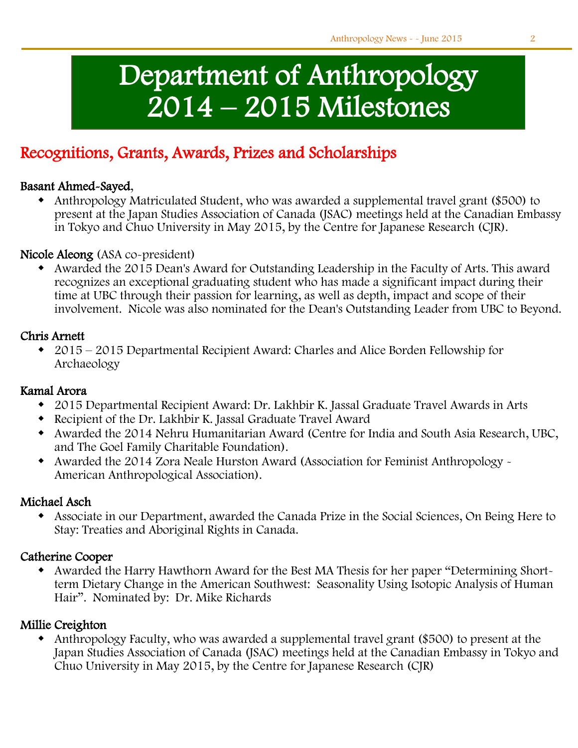# Department of Anthropology 2014 – 2015 Milestones

# Recognitions, Grants, Awards, Prizes and Scholarships

#### Basant Ahmed-Sayed,

j

 Anthropology Matriculated Student, who was awarded a supplemental travel grant (\$500) to present at the Japan Studies Association of Canada (JSAC) meetings held at the Canadian Embassy in Tokyo and Chuo University in May 2015, by the Centre for Japanese Research (CJR).

#### Nicole Aleong (ASA co-president)

 Awarded the 2015 Dean's Award for Outstanding Leadership in the Faculty of Arts. This award recognizes an exceptional graduating student who has made a significant impact during their time at UBC through their passion for learning, as well as depth, impact and scope of their involvement. Nicole was also nominated for the Dean's Outstanding Leader from UBC to Beyond.

#### Chris Arnett

 2015 – 2015 Departmental Recipient Award: Charles and Alice Borden Fellowship for Archaeology

#### Kamal Arora

- 2015 Departmental Recipient Award: Dr. Lakhbir K. Jassal Graduate Travel Awards in Arts
- Recipient of the Dr. Lakhbir K. Jassal Graduate Travel Award
- Awarded the 2014 Nehru Humanitarian Award (Centre for India and South Asia Research, UBC, and The Goel Family Charitable Foundation).
- Awarded the 2014 Zora Neale Hurston Award (Association for Feminist Anthropology American Anthropological Association).

#### Michael Asch

 Associate in our Department, awarded the Canada Prize in the Social Sciences, On Being Here to Stay: Treaties and Aboriginal Rights in Canada.

#### Catherine Cooper

 Awarded the Harry Hawthorn Award for the Best MA Thesis for her paper "Determining Shortterm Dietary Change in the American Southwest: Seasonality Using Isotopic Analysis of Human Hair". Nominated by: Dr. Mike Richards

#### Millie Creighton

 Anthropology Faculty, who was awarded a supplemental travel grant (\$500) to present at the Japan Studies Association of Canada (JSAC) meetings held at the Canadian Embassy in Tokyo and Chuo University in May 2015, by the Centre for Japanese Research (CJR)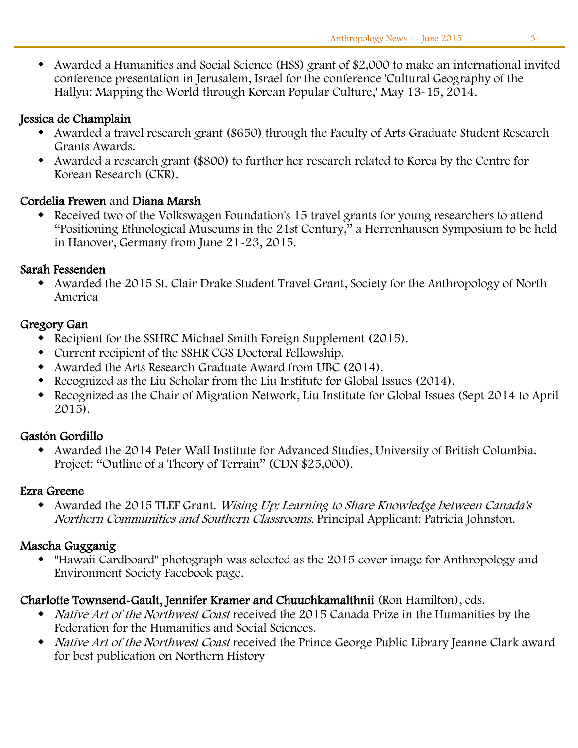Awarded a Humanities and Social Science (HSS) grant of \$2,000 to make an international invited conference presentation in Jerusalem, Israel for the conference 'Cultural Geography of the Hallyu: Mapping the World through Korean Popular Culture,' May 13-15, 2014.

#### Jessica de Champlain

- Awarded a travel research grant (\$650) through the Faculty of Arts Graduate Student Research Grants Awards.
- Awarded a research grant (\$800) to further her research related to Korea by the Centre for Korean Research (CKR).

#### Cordelia Frewen and Diana Marsh

 Received two of the Volkswagen Foundation's 15 travel grants for young researchers to attend "Positioning Ethnological Museums in the 21st Century," a Herrenhausen Symposium to be held in Hanover, Germany from June 21-23, 2015.

#### Sarah Fessenden

 Awarded the 2015 St. Clair Drake Student Travel Grant, Society for the Anthropology of North America

#### Gregory Gan

- Recipient for the SSHRC Michael Smith Foreign Supplement (2015).
- Current recipient of the SSHR CGS Doctoral Fellowship.
- Awarded the Arts Research Graduate Award from UBC (2014).
- Recognized as the Liu Scholar from the Liu Institute for Global Issues (2014).
- Recognized as the Chair of Migration Network, Liu Institute for Global Issues (Sept 2014 to April 2015).

#### Gastón Gordillo

 Awarded the 2014 Peter Wall Institute for Advanced Studies, University of British Columbia. Project: "Outline of a Theory of Terrain" (CDN \$25,000).

#### Ezra Greene

 Awarded the 2015 TLEF Grant. Wising Up: Learning to Share Knowledge between Canada's Northern Communities and Southern Classrooms. Principal Applicant: Patricia Johnston.

#### Mascha Gugganig

 "Hawaii Cardboard" photograph was selected as the 2015 cover image for Anthropology and Environment Society Facebook page.

#### Charlotte Townsend-Gault, Jennifer Kramer and Chuuchkamalthnii (Ron Hamilton), eds.

- *Native Art of the Northwest Coast* received the 2015 Canada Prize in the Humanities by the Federation for the Humanities and Social Sciences.
- Native Art of the Northwest Coast received the Prince George Public Library Jeanne Clark award for best publication on Northern History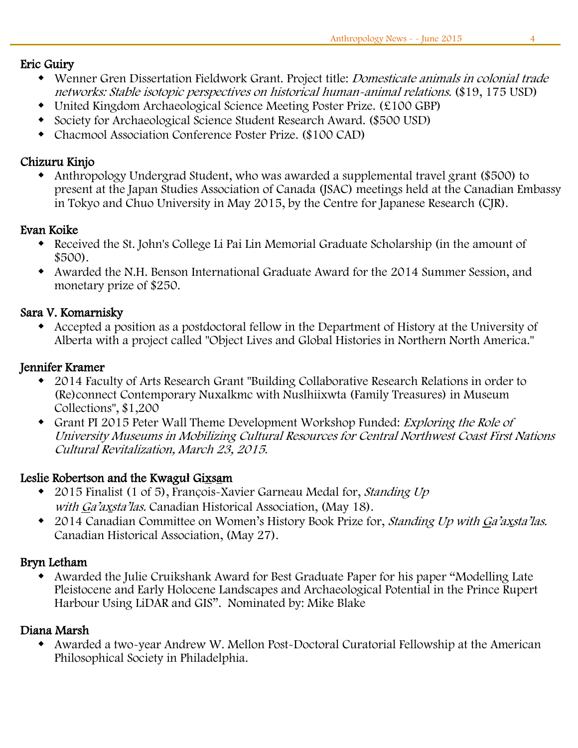#### Eric Guiry

- Wenner Gren Dissertation Fieldwork Grant. Project title: Domesticate animals in colonial trade networks: Stable isotopic perspectives on historical human-animal relations. (\$19, 175 USD)
- United Kingdom Archaeological Science Meeting Poster Prize. (£100 GBP)
- Society for Archaeological Science Student Research Award. (\$500 USD)
- Chacmool Association Conference Poster Prize. (\$100 CAD)

#### Chizuru Kinjo

 Anthropology Undergrad Student, who was awarded a supplemental travel grant (\$500) to present at the Japan Studies Association of Canada (JSAC) meetings held at the Canadian Embassy in Tokyo and Chuo University in May 2015, by the Centre for Japanese Research (CJR).

#### Evan Koike

- Received the St. John's College Li Pai Lin Memorial Graduate Scholarship (in the amount of \$500).
- Awarded the N.H. Benson International Graduate Award for the 2014 Summer Session, and monetary prize of \$250.

#### Sara V. Komarnisky

 Accepted a position as a postdoctoral fellow in the Department of History at the University of Alberta with a project called "Object Lives and Global Histories in Northern North America."

#### Jennifer Kramer

- 2014 Faculty of Arts Research Grant "Building Collaborative Research Relations in order to (Re)connect Contemporary Nuxalkmc with Nuslhiixwta (Family Treasures) in Museum Collections", \$1,200
- Grant PI 2015 Peter Wall Theme Development Workshop Funded: Exploring the Role of University Museums in Mobilizing Cultural Resources for Central Northwest Coast First Nations Cultural Revitalization, March 23, 2015.

#### Leslie Robertson and the Kwagu**ł** Gixsam

- 2015 Finalist (1 of 5), François-Xavier Garneau Medal for, *Standing Up* with Ga'axsta'las. Canadian Historical Association, (May 18).
- 2014 Canadian Committee on Women's History Book Prize for, Standing Up with <sup>G</sup>a'ax*̱*sta'las. Canadian Historical Association, (May 27).

#### Bryn Letham

 Awarded the Julie Cruikshank Award for Best Graduate Paper for his paper "Modelling Late Pleistocene and Early Holocene Landscapes and Archaeological Potential in the Prince Rupert Harbour Using LiDAR and GIS". Nominated by: Mike Blake

#### Diana Marsh

 Awarded a two-year Andrew W. Mellon Post-Doctoral Curatorial Fellowship at the American Philosophical Society in Philadelphia.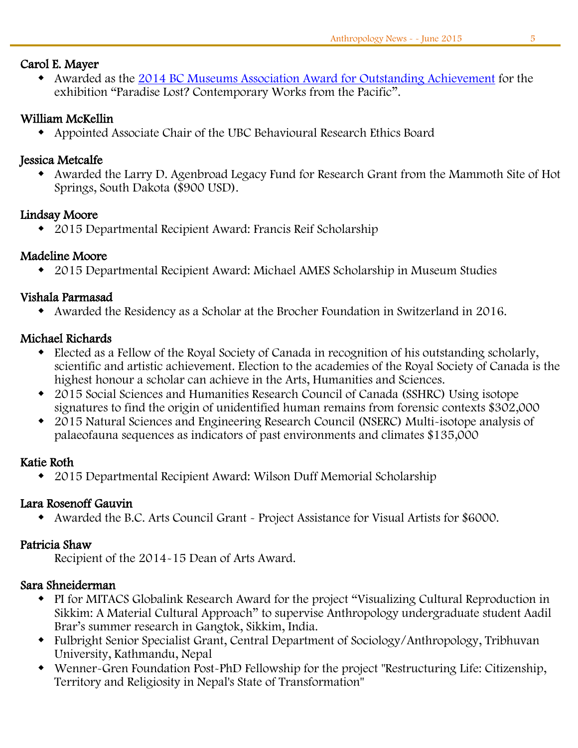#### Carol E. Mayer

• Awarded as the [2014 BC Museums Association Award for Outstanding Achievement](http://museumsassn.bc.ca/awards/outstanding-achievement/) for the exhibition "Paradise Lost? Contemporary Works from the Pacific".

#### William McKellin

Appointed Associate Chair of the UBC Behavioural Research Ethics Board

#### Jessica Metcalfe

 Awarded the Larry D. Agenbroad Legacy Fund for Research Grant from the Mammoth Site of Hot Springs, South Dakota (\$900 USD).

#### Lindsay Moore

2015 Departmental Recipient Award: Francis Reif Scholarship

#### Madeline Moore

2015 Departmental Recipient Award: Michael AMES Scholarship in Museum Studies

#### Vishala Parmasad

Awarded the Residency as a Scholar at the Brocher Foundation in Switzerland in 2016.

#### Michael Richards

- Elected as a Fellow of the Royal Society of Canada in recognition of his outstanding scholarly, scientific and artistic achievement. Election to the academies of the Royal Society of Canada is the highest honour a scholar can achieve in the Arts, Humanities and Sciences.
- 2015 Social Sciences and Humanities Research Council of Canada (SSHRC) Using isotope signatures to find the origin of unidentified human remains from forensic contexts \$302,000
- 2015 Natural Sciences and Engineering Research Council (NSERC) Multi-isotope analysis of palaeofauna sequences as indicators of past environments and climates \$135,000

#### Katie Roth

2015 Departmental Recipient Award: Wilson Duff Memorial Scholarship

#### Lara Rosenoff Gauvin

Awarded the B.C. Arts Council Grant - Project Assistance for Visual Artists for \$6000.

#### Patricia Shaw

Recipient of the 2014-15 Dean of Arts Award.

#### Sara Shneiderman

- PI for MITACS Globalink Research Award for the project "Visualizing Cultural Reproduction in Sikkim: A Material Cultural Approach" to supervise Anthropology undergraduate student Aadil Brar's summer research in Gangtok, Sikkim, India.
- Fulbright Senior Specialist Grant, Central Department of Sociology/Anthropology, Tribhuvan University, Kathmandu, Nepal
- Wenner-Gren Foundation Post-PhD Fellowship for the project "Restructuring Life: Citizenship, Territory and Religiosity in Nepal's State of Transformation"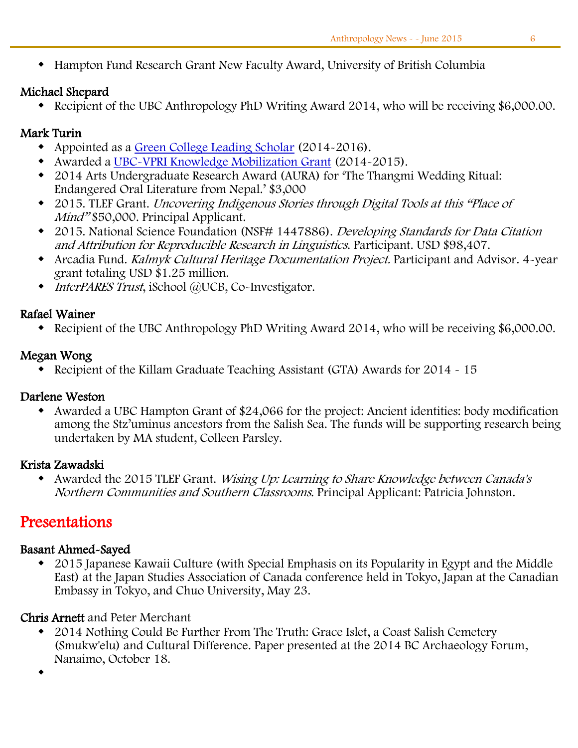Hampton Fund Research Grant New Faculty Award, University of British Columbia

#### Michael Shepard

Recipient of the UBC Anthropology PhD Writing Award 2014, who will be receiving \$6,000.00.

#### Mark Turin

- Appointed as a [Green College Leading Scholar](http://www.greencollege.ubc.ca/the_college_community/leading_scholars.php) (2014-2016).
- Awarded a [UBC-VPRI Knowledge Mobilization Grant](http://www.ors.ubc.ca/contents/new-funding-updates-office-vp-research-international-office) (2014-2015).
- 2014 Arts Undergraduate Research Award (AURA) for 'The Thangmi Wedding Ritual: Endangered Oral Literature from Nepal.' \$3,000
- 2015. TLEF Grant. Uncovering Indigenous Stories through Digital Tools at this "Place of Mind" \$50,000. Principal Applicant.
- 2015. National Science Foundation (NSF# 1447886). Developing Standards for Data Citation and Attribution for Reproducible Research in Linguistics. Participant. USD \$98,407.
- Arcadia Fund. Kalmyk Cultural Heritage Documentation Project. Participant and Advisor. 4-year grant totaling USD \$1.25 million.
- $\rightarrow$  *InterPARES Trust*, iSchool @UCB, Co-Investigator.

#### Rafael Wainer

Recipient of the UBC Anthropology PhD Writing Award 2014, who will be receiving \$6,000.00.

#### Megan Wong

Recipient of the Killam Graduate Teaching Assistant (GTA) Awards for 2014 - 15

#### Darlene Weston

 Awarded a UBC Hampton Grant of \$24,066 for the project: Ancient identities: body modification among the Stz'uminus ancestors from the Salish Sea. The funds will be supporting research being undertaken by MA student, Colleen Parsley.

#### Krista Zawadski

 Awarded the 2015 TLEF Grant. Wising Up: Learning to Share Knowledge between Canada's Northern Communities and Southern Classrooms. Principal Applicant: Patricia Johnston.

# Presentations

#### Basant Ahmed-Sayed

 2015 Japanese Kawaii Culture (with Special Emphasis on its Popularity in Egypt and the Middle East) at the Japan Studies Association of Canada conference held in Tokyo, Japan at the Canadian Embassy in Tokyo, and Chuo University, May 23.

#### Chris Arnett and Peter Merchant

 2014 Nothing Could Be Further From The Truth: Grace Islet, a Coast Salish Cemetery (Smukw'elu) and Cultural Difference. Paper presented at the 2014 BC Archaeology Forum, Nanaimo, October 18.

 $\bullet$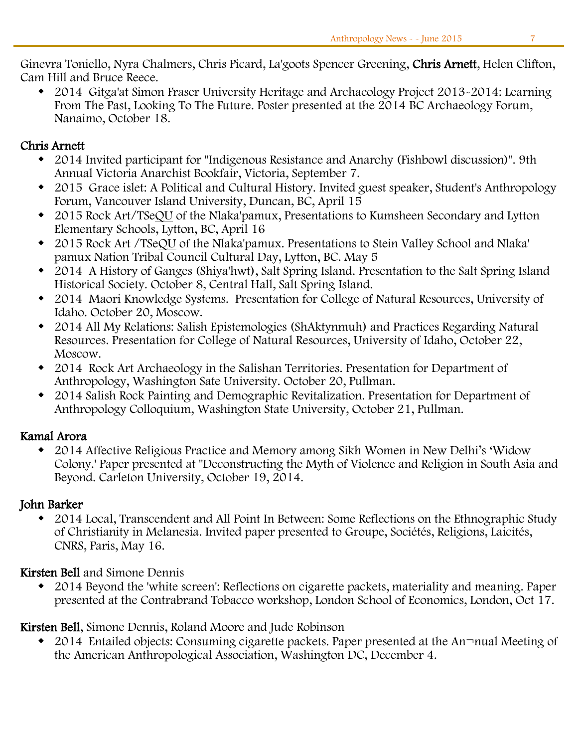Ginevra Toniello, Nyra Chalmers, Chris Picard, La'goots Spencer Greening, Chris Arnett, Helen Clifton, Cam Hill and Bruce Reece.

 2014 Gitga'at Simon Fraser University Heritage and Archaeology Project 2013-2014: Learning From The Past, Looking To The Future. Poster presented at the 2014 BC Archaeology Forum, Nanaimo, October 18.

#### Chris Arnett

- 2014 Invited participant for "Indigenous Resistance and Anarchy (Fishbowl discussion)". 9th Annual Victoria Anarchist Bookfair, Victoria, September 7.
- 2015 Grace islet: A Political and Cultural History. Invited guest speaker, Student's Anthropology Forum, Vancouver Island University, Duncan, BC, April 15
- 2015 Rock Art/TSeQU of the Nlaka'pamux, Presentations to Kumsheen Secondary and Lytton Elementary Schools, Lytton, BC, April 16
- 2015 Rock Art /TSeQU of the Nlaka'pamux. Presentations to Stein Valley School and Nlaka' pamux Nation Tribal Council Cultural Day, Lytton, BC. May 5
- 2014 A History of Ganges (Shiya'hwt), Salt Spring Island. Presentation to the Salt Spring Island Historical Society. October 8, Central Hall, Salt Spring Island.
- 2014 Maori Knowledge Systems. Presentation for College of Natural Resources, University of Idaho. October 20, Moscow.
- 2014 All My Relations: Salish Epistemologies (ShAktynmuh) and Practices Regarding Natural Resources. Presentation for College of Natural Resources, University of Idaho, October 22, Moscow.
- 2014 Rock Art Archaeology in the Salishan Territories. Presentation for Department of Anthropology, Washington Sate University. October 20, Pullman.
- 2014 Salish Rock Painting and Demographic Revitalization. Presentation for Department of Anthropology Colloquium, Washington State University, October 21, Pullman.

#### Kamal Arora

 2014 Affective Religious Practice and Memory among Sikh Women in New Delhi's 'Widow Colony.' Paper presented at "Deconstructing the Myth of Violence and Religion in South Asia and Beyond. Carleton University, October 19, 2014.

#### John Barker

 2014 Local, Transcendent and All Point In Between: Some Reflections on the Ethnographic Study of Christianity in Melanesia. Invited paper presented to Groupe, Sociétés, Religions, Laicités, CNRS, Paris, May 16.

#### Kirsten Bell and Simone Dennis

 2014 Beyond the 'white screen': Reflections on cigarette packets, materiality and meaning. Paper presented at the Contrabrand Tobacco workshop, London School of Economics, London, Oct 17.

Kirsten Bell, Simone Dennis, Roland Moore and Jude Robinson

• 2014 Entailed objects: Consuming cigarette packets. Paper presented at the An¬nual Meeting of the American Anthropological Association, Washington DC, December 4.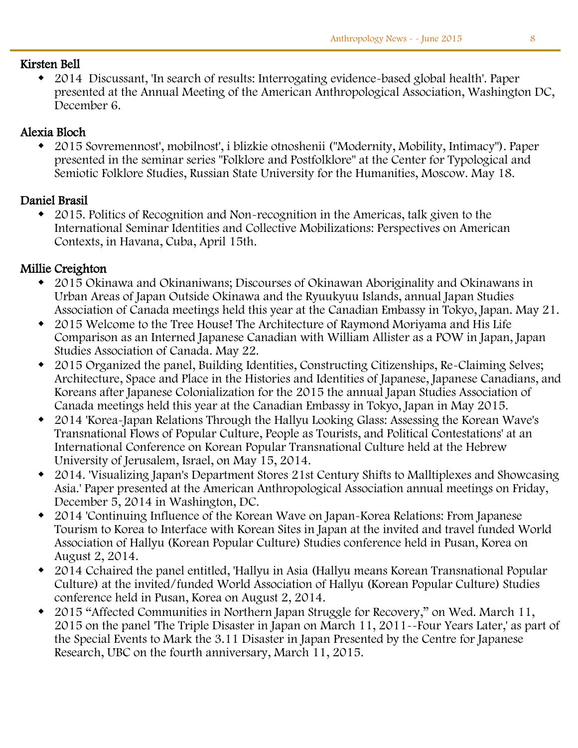#### Kirsten Bell

 2014 Discussant, 'In search of results: Interrogating evidence-based global health'. Paper presented at the Annual Meeting of the American Anthropological Association, Washington DC, December 6.

#### Alexia Bloch

 2015 Sovremennost', mobilnost', i blizkie otnoshenii ("Modernity, Mobility, Intimacy"). Paper presented in the seminar series "Folklore and Postfolklore" at the Center for Typological and Semiotic Folklore Studies, Russian State University for the Humanities, Moscow. May 18.

#### Daniel Brasil

 2015. Politics of Recognition and Non-recognition in the Americas, talk given to the International Seminar Identities and Collective Mobilizations: Perspectives on American Contexts, in Havana, Cuba, April 15th.

#### Millie Creighton

- 2015 Okinawa and Okinaniwans; Discourses of Okinawan Aboriginality and Okinawans in Urban Areas of Japan Outside Okinawa and the Ryuukyuu Islands, annual Japan Studies Association of Canada meetings held this year at the Canadian Embassy in Tokyo, Japan. May 21.
- 2015 Welcome to the Tree House! The Architecture of Raymond Moriyama and His Life Comparison as an Interned Japanese Canadian with William Allister as a POW in Japan, Japan Studies Association of Canada. May 22.
- 2015 Organized the panel, Building Identities, Constructing Citizenships, Re-Claiming Selves; Architecture, Space and Place in the Histories and Identities of Japanese, Japanese Canadians, and Koreans after Japanese Colonialization for the 2015 the annual Japan Studies Association of Canada meetings held this year at the Canadian Embassy in Tokyo, Japan in May 2015.
- 2014 'Korea-Japan Relations Through the Hallyu Looking Glass: Assessing the Korean Wave's Transnational Flows of Popular Culture, People as Tourists, and Political Contestations' at an International Conference on Korean Popular Transnational Culture held at the Hebrew University of Jerusalem, Israel, on May 15, 2014.
- 2014. 'Visualizing Japan's Department Stores 21st Century Shifts to Malltiplexes and Showcasing Asia.' Paper presented at the American Anthropological Association annual meetings on Friday, December 5, 2014 in Washington, DC.
- 2014 'Continuing Influence of the Korean Wave on Japan-Korea Relations: From Japanese Tourism to Korea to Interface with Korean Sites in Japan at the invited and travel funded World Association of Hallyu (Korean Popular Culture) Studies conference held in Pusan, Korea on August 2, 2014.
- 2014 Cchaired the panel entitled, 'Hallyu in Asia (Hallyu means Korean Transnational Popular Culture) at the invited/funded World Association of Hallyu (Korean Popular Culture) Studies conference held in Pusan, Korea on August 2, 2014.
- 2015 "Affected Communities in Northern Japan Struggle for Recovery," on Wed. March 11, 2015 on the panel 'The Triple Disaster in Japan on March 11, 2011--Four Years Later,' as part of the Special Events to Mark the 3.11 Disaster in Japan Presented by the Centre for Japanese Research, UBC on the fourth anniversary, March 11, 2015.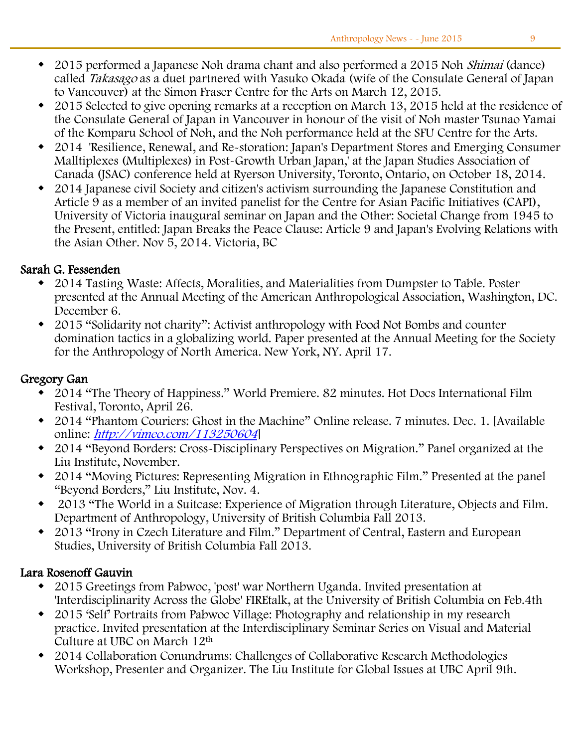- 2015 performed a Japanese Noh drama chant and also performed a 2015 Noh Shimai (dance) called *Takasago* as a duet partnered with Yasuko Okada (wife of the Consulate General of Japan to Vancouver) at the Simon Fraser Centre for the Arts on March 12, 2015.
- 2015 Selected to give opening remarks at a reception on March 13, 2015 held at the residence of the Consulate General of Japan in Vancouver in honour of the visit of Noh master Tsunao Yamai of the Komparu School of Noh, and the Noh performance held at the SFU Centre for the Arts.
- 2014 'Resilience, Renewal, and Re-storation: Japan's Department Stores and Emerging Consumer Malltiplexes (Multiplexes) in Post-Growth Urban Japan,' at the Japan Studies Association of Canada (JSAC) conference held at Ryerson University, Toronto, Ontario, on October 18, 2014.
- 2014 Japanese civil Society and citizen's activism surrounding the Japanese Constitution and Article 9 as a member of an invited panelist for the Centre for Asian Pacific Initiatives (CAPI), University of Victoria inaugural seminar on Japan and the Other: Societal Change from 1945 to the Present, entitled: Japan Breaks the Peace Clause: Article 9 and Japan's Evolving Relations with the Asian Other. Nov 5, 2014. Victoria, BC

#### Sarah G. Fessenden

- 2014 Tasting Waste: Affects, Moralities, and Materialities from Dumpster to Table. Poster presented at the Annual Meeting of the American Anthropological Association, Washington, DC. December 6.
- 2015 "Solidarity not charity": Activist anthropology with Food Not Bombs and counter domination tactics in a globalizing world. Paper presented at the Annual Meeting for the Society for the Anthropology of North America. New York, NY. April 17.

#### Gregory Gan

- 2014 "The Theory of Happiness." World Premiere. 82 minutes. Hot Docs International Film Festival, Toronto, April 26.
- 2014 "Phantom Couriers: Ghost in the Machine" Online release. 7 minutes. Dec. 1. [Available online: [http://vimeo.com/113250604](https://www.mail.ubc.ca/owa/Anth.Head@ubc.ca/redir.aspx?SURL=J8QEz1rLt_BfeMbnVc74UnkHqMZy16z5JvpWLvkI-ETauJRJK3vSCGgAdAB0AHAAOgAvAC8AdgBpAG0AZQBvAC4AYwBvAG0ALwAxADEAMwAyADUAMAA2ADAANAA.&URL=http%3a%2f%2fvimeo.com%2f113250604)
- 2014 "Beyond Borders: Cross-Disciplinary Perspectives on Migration." Panel organized at the Liu Institute, November.
- 2014 "Moving Pictures: Representing Migration in Ethnographic Film." Presented at the panel "Beyond Borders," Liu Institute, Nov. 4.
- 2013 "The World in a Suitcase: Experience of Migration through Literature, Objects and Film. Department of Anthropology, University of British Columbia Fall 2013.
- 2013 "Irony in Czech Literature and Film." Department of Central, Eastern and European Studies, University of British Columbia Fall 2013.

#### Lara Rosenoff Gauvin

- 2015 Greetings from Pabwoc, 'post' war Northern Uganda. Invited presentation at 'Interdisciplinarity Across the Globe' FIREtalk, at the University of British Columbia on Feb.4th
- 2015 'Self' Portraits from Pabwoc Village: Photography and relationship in my research practice. Invited presentation at the Interdisciplinary Seminar Series on Visual and Material Culture at UBC on March 12th
- 2014 Collaboration Conundrums: Challenges of Collaborative Research Methodologies Workshop, Presenter and Organizer. The Liu Institute for Global Issues at UBC April 9th.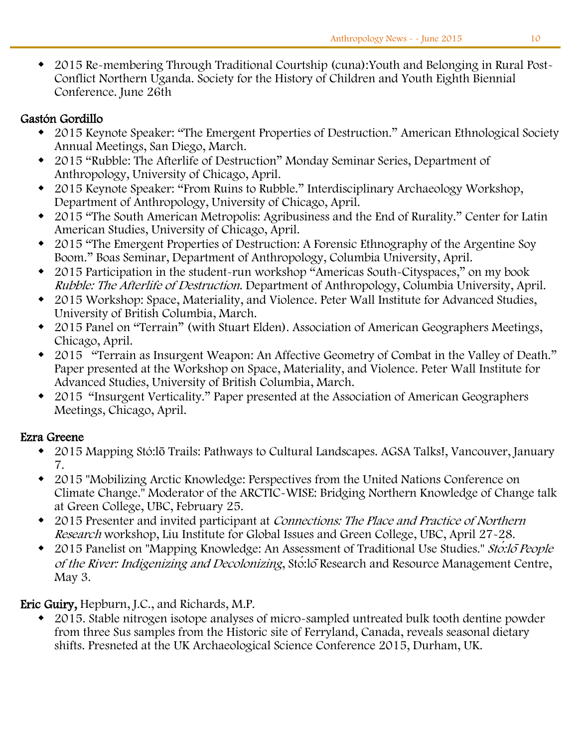2015 Re-membering Through Traditional Courtship (cuna):Youth and Belonging in Rural Post-Conflict Northern Uganda. Society for the History of Children and Youth Eighth Biennial Conference. June 26th

#### Gastón Gordillo

- 2015 Keynote Speaker: "The Emergent Properties of Destruction." American Ethnological Society Annual Meetings, San Diego, March.
- 2015 "Rubble: The Afterlife of Destruction" Monday Seminar Series, Department of Anthropology, University of Chicago, April.
- 2015 Keynote Speaker: "From Ruins to Rubble." Interdisciplinary Archaeology Workshop, Department of Anthropology, University of Chicago, April.
- 2015 "The South American Metropolis: Agribusiness and the End of Rurality." Center for Latin American Studies, University of Chicago, April.
- 2015 "The Emergent Properties of Destruction: A Forensic Ethnography of the Argentine Soy Boom." Boas Seminar, Department of Anthropology, Columbia University, April.
- 2015 Participation in the student-run workshop "Americas South-Cityspaces," on my book Rubble: The Afterlife of Destruction. Department of Anthropology, Columbia University, April.
- 2015 Workshop: Space, Materiality, and Violence. Peter Wall Institute for Advanced Studies, University of British Columbia, March.
- 2015 Panel on "Terrain" (with Stuart Elden). Association of American Geographers Meetings, Chicago, April.
- 2015 "Terrain as Insurgent Weapon: An Affective Geometry of Combat in the Valley of Death." Paper presented at the Workshop on Space, Materiality, and Violence. Peter Wall Institute for Advanced Studies, University of British Columbia, March.
- 2015 "Insurgent Verticality." Paper presented at the Association of American Geographers Meetings, Chicago, April.

#### Ezra Greene

- 2015 Mapping Stó:lō Trails: Pathways to Cultural Landscapes. AGSA Talks!, Vancouver, January 7.
- 2015 "Mobilizing Arctic Knowledge: Perspectives from the United Nations Conference on Climate Change." Moderator of the ARCTIC-WISE: Bridging Northern Knowledge of Change talk at Green College, UBC, February 25.
- 2015 Presenter and invited participant at Connections: The Place and Practice of Northern Research workshop, Liu Institute for Global Issues and Green College, UBC, April 27-28.
- ◆ 2015 Panelist on "Mapping Knowledge: An Assessment of Traditional Use Studies." Sto<sup>*:*1</sup>o People</sup> of the River: Indigenizing and Decolonizing, Stó:lōResearch and Resource Management Centre, May 3.

#### Eric Guiry, Hepburn, J.C., and Richards, M.P.

 2015. Stable nitrogen isotope analyses of micro-sampled untreated bulk tooth dentine powder from three Sus samples from the Historic site of Ferryland, Canada, reveals seasonal dietary shifts. Presneted at the UK Archaeological Science Conference 2015, Durham, UK.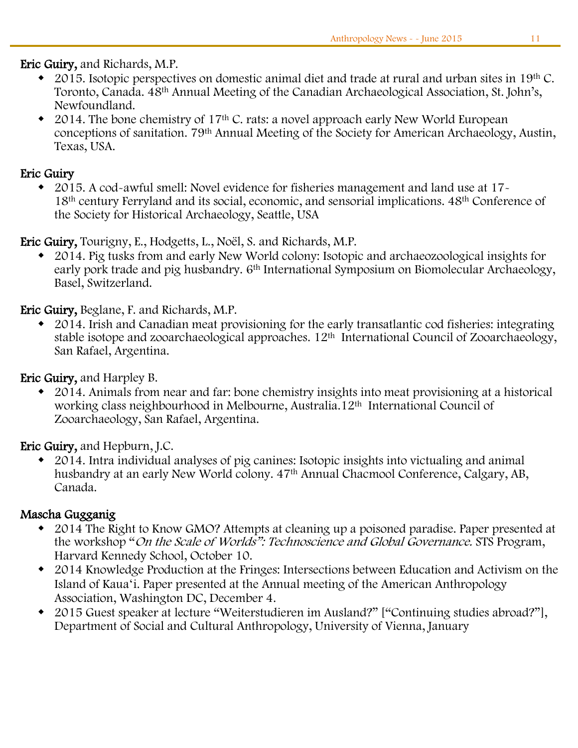#### Ī Eric Guiry, and Richards, M.P.

- $\bullet$  2015. Isotopic perspectives on domestic animal diet and trade at rural and urban sites in 19<sup>th</sup> C. Toronto, Canada. 48th Annual Meeting of the Canadian Archaeological Association, St. John's, Newfoundland.
- 2014. The bone chemistry of 17<sup>th</sup> C. rats: a novel approach early New World European conceptions of sanitation. 79th Annual Meeting of the Society for American Archaeology, Austin, Texas, USA.

#### Eric Guiry

 2015. A cod-awful smell: Novel evidence for fisheries management and land use at 17- 18th century Ferryland and its social, economic, and sensorial implications. 48th Conference of the Society for Historical Archaeology, Seattle, USA

Eric Guiry, Tourigny, E., Hodgetts, L., Noël, S. and Richards, M.P.

 2014. Pig tusks from and early New World colony: Isotopic and archaeozoological insights for early pork trade and pig husbandry. 6<sup>th</sup> International Symposium on Biomolecular Archaeology, Basel, Switzerland.

Eric Guiry, Beglane, F. and Richards, M.P.

 2014. Irish and Canadian meat provisioning for the early transatlantic cod fisheries: integrating stable isotope and zooarchaeological approaches. 12<sup>th</sup> International Council of Zooarchaeology, San Rafael, Argentina.

Eric Guiry, and Harpley B.

 2014. Animals from near and far: bone chemistry insights into meat provisioning at a historical working class neighbourhood in Melbourne, Australia.12th International Council of Zooarchaeology, San Rafael, Argentina.

Eric Guiry, and Hepburn, J.C.

 2014. Intra individual analyses of pig canines: Isotopic insights into victualing and animal husbandry at an early New World colony. 47<sup>th</sup> Annual Chacmool Conference, Calgary, AB, Canada.

#### Mascha Gugganig

- 2014 The Right to Know GMO? Attempts at cleaning up a poisoned paradise. Paper presented at the workshop "On the Scale of Worlds": Technoscience and Global Governance. STS Program, Harvard Kennedy School, October 10.
- 2014 Knowledge Production at the Fringes: Intersections between Education and Activism on the Island of Kauaʻi. Paper presented at the Annual meeting of the American Anthropology Association, Washington DC, December 4.
- 2015 Guest speaker at lecture "Weiterstudieren im Ausland?" ["Continuing studies abroad?"], Department of Social and Cultural Anthropology, University of Vienna, January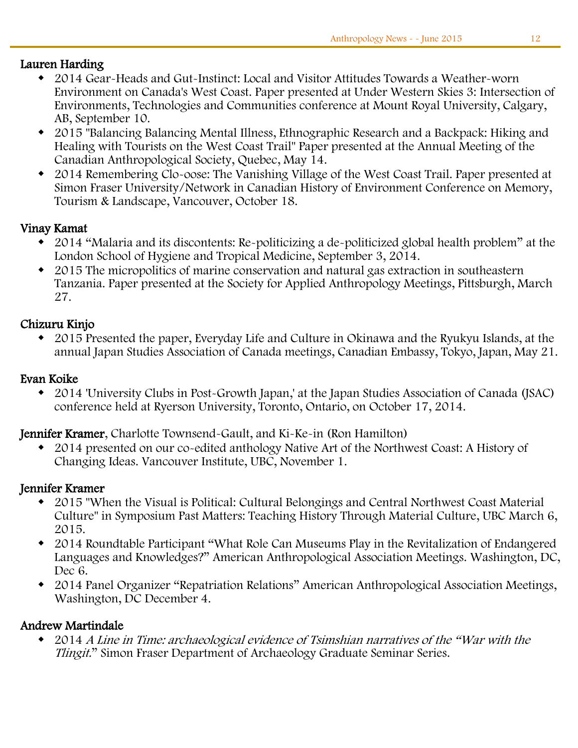#### Lauren Harding

- 2014 Gear-Heads and Gut-Instinct: Local and Visitor Attitudes Towards a Weather-worn Environment on Canada's West Coast. Paper presented at Under Western Skies 3: Intersection of Environments, Technologies and Communities conference at Mount Royal University, Calgary, AB, September 10.
- 2015 "Balancing Balancing Mental Illness, Ethnographic Research and a Backpack: Hiking and Healing with Tourists on the West Coast Trail" Paper presented at the Annual Meeting of the Canadian Anthropological Society, Quebec, May 14.
- 2014 Remembering Clo-oose: The Vanishing Village of the West Coast Trail. Paper presented at Simon Fraser University/Network in Canadian History of Environment Conference on Memory, Tourism & Landscape, Vancouver, October 18.

#### Vinay Kamat

- 2014 "Malaria and its discontents: Re-politicizing a de-politicized global health problem" at the London School of Hygiene and Tropical Medicine, September 3, 2014.
- 2015 The micropolitics of marine conservation and natural gas extraction in southeastern Tanzania. Paper presented at the Society for Applied Anthropology Meetings, Pittsburgh, March 27.

#### Chizuru Kinjo

 2015 Presented the paper, Everyday Life and Culture in Okinawa and the Ryukyu Islands, at the annual Japan Studies Association of Canada meetings, Canadian Embassy, Tokyo, Japan, May 21.

#### Evan Koike

 2014 'University Clubs in Post-Growth Japan,' at the Japan Studies Association of Canada (JSAC) conference held at Ryerson University, Toronto, Ontario, on October 17, 2014.

Jennifer Kramer, Charlotte Townsend-Gault, and Ki-Ke-in (Ron Hamilton)

 2014 presented on our co-edited anthology Native Art of the Northwest Coast: A History of Changing Ideas. Vancouver Institute, UBC, November 1.

#### Jennifer Kramer

- 2015 "When the Visual is Political: Cultural Belongings and Central Northwest Coast Material Culture" in Symposium Past Matters: Teaching History Through Material Culture, UBC March 6, 2015.
- 2014 Roundtable Participant "What Role Can Museums Play in the Revitalization of Endangered Languages and Knowledges?" American Anthropological Association Meetings. Washington, DC, Dec 6.
- 2014 Panel Organizer "Repatriation Relations" American Anthropological Association Meetings, Washington, DC December 4.

#### Andrew Martindale

 2014 A Line in Time: archaeological evidence of Tsimshian narratives of the "War with the Tlingit." Simon Fraser Department of Archaeology Graduate Seminar Series.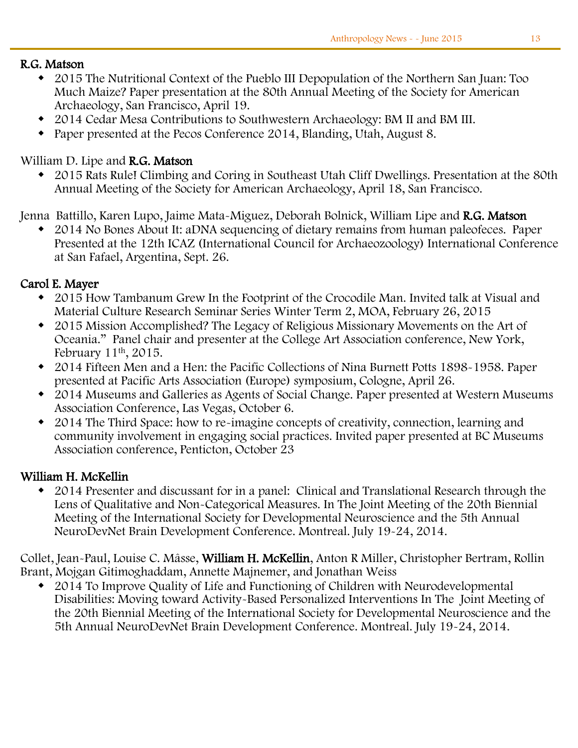#### j R.G. Matson

- 2015 The Nutritional Context of the Pueblo III Depopulation of the Northern San Juan: Too Much Maize? Paper presentation at the 80th Annual Meeting of the Society for American Archaeology, San Francisco, April 19.
- 2014 Cedar Mesa Contributions to Southwestern Archaeology: BM II and BM III.
- Paper presented at the Pecos Conference 2014, Blanding, Utah, August 8.

#### William D. Lipe and R.G. Matson

 2015 Rats Rule! Climbing and Coring in Southeast Utah Cliff Dwellings. Presentation at the 80th Annual Meeting of the Society for American Archaeology, April 18, San Francisco.

Jenna Battillo, Karen Lupo, Jaime Mata-Miguez, Deborah Bolnick, William Lipe and R.G. Matson

 2014 No Bones About It: aDNA sequencing of dietary remains from human paleofeces. Paper Presented at the 12th ICAZ (International Council for Archaeozoology) International Conference at San Fafael, Argentina, Sept. 26.

#### Carol E. Mayer

- 2015 How Tambanum Grew In the Footprint of the Crocodile Man. Invited talk at Visual and Material Culture Research Seminar Series Winter Term 2, MOA, February 26, 2015
- 2015 Mission Accomplished? The Legacy of Religious Missionary Movements on the Art of Oceania." Panel chair and presenter at the College Art Association conference, New York, February 11th, 2015.
- 2014 Fifteen Men and a Hen: the Pacific Collections of Nina Burnett Potts 1898-1958. Paper presented at Pacific Arts Association (Europe) symposium, Cologne, April 26.
- 2014 Museums and Galleries as Agents of Social Change. Paper presented at Western Museums Association Conference, Las Vegas, October 6.
- 2014 The Third Space: how to re-imagine concepts of creativity, connection, learning and community involvement in engaging social practices. Invited paper presented at BC Museums Association conference, Penticton, October 23

#### William H. McKellin

 2014 Presenter and discussant for in a panel: Clinical and Translational Research through the Lens of Qualitative and Non-Categorical Measures. In The Joint Meeting of the 20th Biennial Meeting of the International Society for Developmental Neuroscience and the 5th Annual NeuroDevNet Brain Development Conference. Montreal. July 19-24, 2014.

Collet, Jean-Paul, Louise C. Mâsse, William H. McKellin, Anton R Miller, Christopher Bertram, Rollin Brant, Mojgan Gitimoghaddam, Annette Majnemer, and Jonathan Weiss

 2014 To Improve Quality of Life and Functioning of Children with Neurodevelopmental Disabilities: Moving toward Activity-Based Personalized Interventions In The Joint Meeting of the 20th Biennial Meeting of the International Society for Developmental Neuroscience and the 5th Annual NeuroDevNet Brain Development Conference. Montreal. July 19-24, 2014.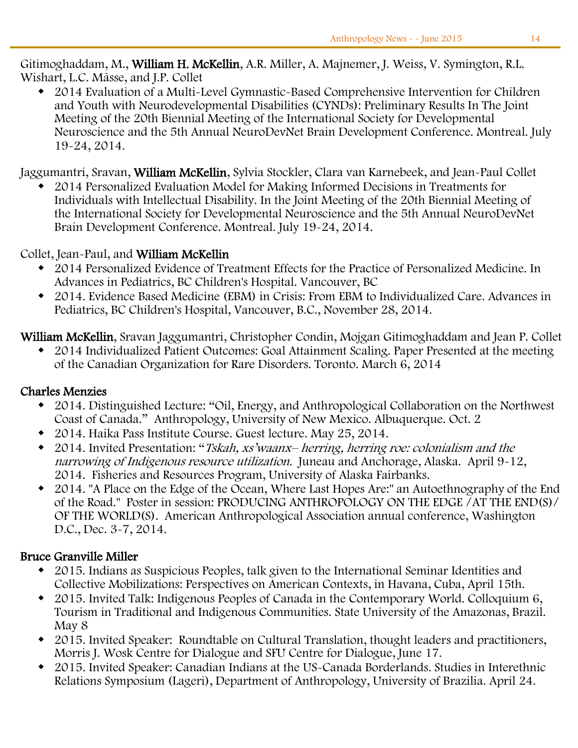Gitimoghaddam, M., William H. McKellin, A.R. Miller, A. Majnemer, J. Weiss, V. Symington, R.L. Wishart, L.C. Mâsse, and J.P. Collet

 2014 Evaluation of a Multi-Level Gymnastic-Based Comprehensive Intervention for Children and Youth with Neurodevelopmental Disabilities (CYNDs): Preliminary Results In The Joint Meeting of the 20th Biennial Meeting of the International Society for Developmental Neuroscience and the 5th Annual NeuroDevNet Brain Development Conference. Montreal. July 19-24, 2014.

Jaggumantri, Sravan, William McKellin, Sylvia Stockler, Clara van Karnebeek, and Jean-Paul Collet

 2014 Personalized Evaluation Model for Making Informed Decisions in Treatments for Individuals with Intellectual Disability. In the Joint Meeting of the 20th Biennial Meeting of the International Society for Developmental Neuroscience and the 5th Annual NeuroDevNet Brain Development Conference. Montreal. July 19-24, 2014.

#### Collet, Jean-Paul, and William McKellin

- 2014 Personalized Evidence of Treatment Effects for the Practice of Personalized Medicine. In Advances in Pediatrics, BC Children's Hospital. Vancouver, BC
- 2014. Evidence Based Medicine (EBM) in Crisis: From EBM to Individualized Care. Advances in Pediatrics, BC Children's Hospital, Vancouver, B.C., November 28, 2014.

William McKellin, Sravan Jaggumantri, Christopher Condin, Mojgan Gitimoghaddam and Jean P. Collet

 2014 Individualized Patient Outcomes: Goal Attainment Scaling. Paper Presented at the meeting of the Canadian Organization for Rare Disorders. Toronto. March 6, 2014

#### Charles Menzies

- 2014. Distinguished Lecture: "Oil, Energy, and Anthropological Collaboration on the Northwest Coast of Canada." Anthropology, University of New Mexico. Albuquerque. Oct. 2
- 2014. Haika Pass Institute Course. Guest lecture. May 25, 2014.
- 2014. Invited Presentation: "Tskah, xs'waanx– herring, herring roe: colonialism and the narrowing of Indigenous resource utilization. Juneau and Anchorage, Alaska. April 9-12, 2014. Fisheries and Resources Program, University of Alaska Fairbanks.
- 2014. "A Place on the Edge of the Ocean, Where Last Hopes Are:" an Autoethnography of the End of the Road." Poster in session: PRODUCING ANTHROPOLOGY ON THE EDGE /AT THE END(S)/ OF THE WORLD(S). American Anthropological Association annual conference, Washington D.C., Dec. 3-7, 2014.

#### Bruce Granville Miller

- 2015. Indians as Suspicious Peoples, talk given to the International Seminar Identities and Collective Mobilizations: Perspectives on American Contexts, in Havana, Cuba, April 15th.
- 2015. Invited Talk: Indigenous Peoples of Canada in the Contemporary World. Colloquium 6, Tourism in Traditional and Indigenous Communities. State University of the Amazonas, Brazil. May 8
- 2015. Invited Speaker: Roundtable on Cultural Translation, thought leaders and practitioners, Morris J. Wosk Centre for Dialogue and SFU Centre for Dialogue, June 17.
- 2015. Invited Speaker: Canadian Indians at the US-Canada Borderlands. Studies in Interethnic Relations Symposium (Lageri), Department of Anthropology, University of Brazilia. April 24.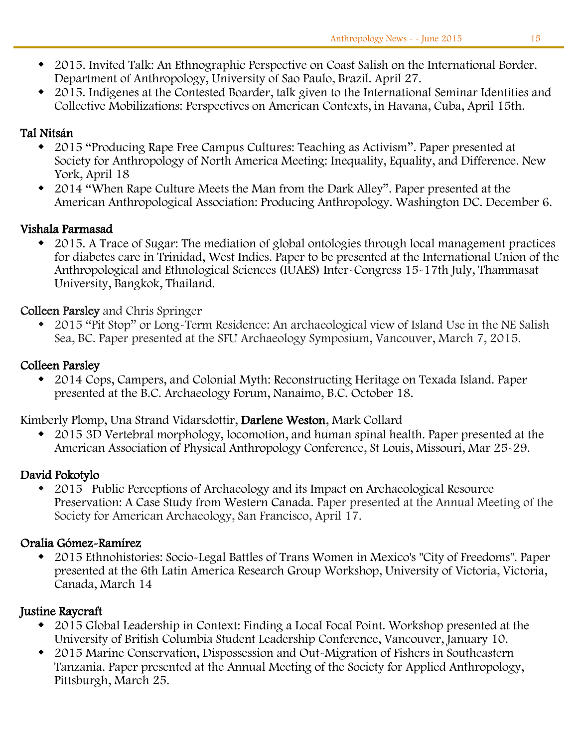- 2015. Invited Talk: An Ethnographic Perspective on Coast Salish on the International Border. Department of Anthropology, University of Sao Paulo, Brazil. April 27.
- 2015. Indigenes at the Contested Boarder, talk given to the International Seminar Identities and Collective Mobilizations: Perspectives on American Contexts, in Havana, Cuba, April 15th.

#### Tal Nitsán

- 2015 "Producing Rape Free Campus Cultures: Teaching as Activism". Paper presented at Society for Anthropology of North America Meeting: Inequality, Equality, and Difference. New York, April 18
- 2014 "When Rape Culture Meets the Man from the Dark Alley". Paper presented at the American Anthropological Association: Producing Anthropology. Washington DC. December 6.

#### Vishala Parmasad

 2015. A Trace of Sugar: The mediation of global ontologies through local management practices for diabetes care in Trinidad, West Indies. Paper to be presented at the International Union of the Anthropological and Ethnological Sciences (IUAES) Inter-Congress 15-17th July, Thammasat University, Bangkok, Thailand.

#### Colleen Parsley and Chris Springer

 2015 "Pit Stop" or Long-Term Residence: An archaeological view of Island Use in the NE Salish Sea, BC. Paper presented at the SFU Archaeology Symposium, Vancouver, March 7, 2015.

#### Colleen Parsley

 2014 Cops, Campers, and Colonial Myth: Reconstructing Heritage on Texada Island. Paper presented at the B.C. Archaeology Forum, Nanaimo, B.C. October 18.

Kimberly Plomp, Una Strand Vidarsdottir, Darlene Weston, Mark Collard

 2015 3D Vertebral morphology, locomotion, and human spinal health. Paper presented at the American Association of Physical Anthropology Conference, St Louis, Missouri, Mar 25-29.

#### David Pokotylo

 2015 Public Perceptions of Archaeology and its Impact on Archaeological Resource Preservation: A Case Study from Western Canada. Paper presented at the Annual Meeting of the Society for American Archaeology, San Francisco, April 17.

#### Oralia Gómez-Ramírez

 2015 Ethnohistories: Socio-Legal Battles of Trans Women in Mexico's "City of Freedoms". Paper presented at the 6th Latin America Research Group Workshop, University of Victoria, Victoria, Canada, March 14

#### Justine Raycraft

- 2015 Global Leadership in Context: Finding a Local Focal Point. Workshop presented at the University of British Columbia Student Leadership Conference, Vancouver, January 10.
- 2015 Marine Conservation, Dispossession and Out-Migration of Fishers in Southeastern Tanzania. Paper presented at the Annual Meeting of the Society for Applied Anthropology, Pittsburgh, March 25.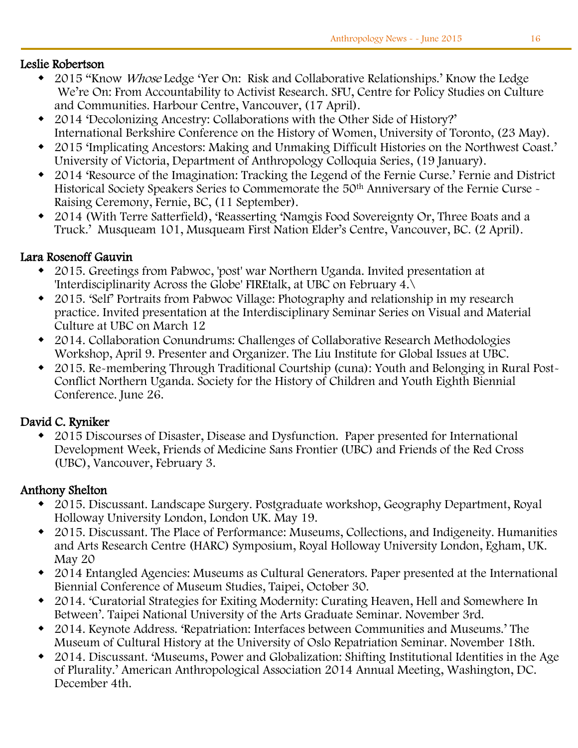#### j Leslie Robertson

- 2015 "Know *Whose* Ledge 'Yer On: Risk and Collaborative Relationships.' Know the Ledge We're On: From Accountability to Activist Research. SFU, Centre for Policy Studies on Culture and Communities. Harbour Centre, Vancouver, (17 April).
- 2014 'Decolonizing Ancestry: Collaborations with the Other Side of History?' International Berkshire Conference on the History of Women, University of Toronto, (23 May).
- 2015 'Implicating Ancestors: Making and Unmaking Difficult Histories on the Northwest Coast.' University of Victoria, Department of Anthropology Colloquia Series, (19 January).
- 2014 'Resource of the Imagination: Tracking the Legend of the Fernie Curse.' Fernie and District Historical Society Speakers Series to Commemorate the 50<sup>th</sup> Anniversary of the Fernie Curse -Raising Ceremony, Fernie, BC, (11 September).
- 2014 (With Terre Satterfield), 'Reasserting 'Namgis Food Sovereignty Or, Three Boats and a Truck.' Musqueam 101, Musqueam First Nation Elder's Centre, Vancouver, BC. (2 April).

#### Lara Rosenoff Gauvin

- 2015. Greetings from Pabwoc, 'post' war Northern Uganda. Invited presentation at 'Interdisciplinarity Across the Globe' FIREtalk, at UBC on February 4.\
- 2015. 'Self' Portraits from Pabwoc Village: Photography and relationship in my research practice. Invited presentation at the Interdisciplinary Seminar Series on Visual and Material Culture at UBC on March 12
- 2014. Collaboration Conundrums: Challenges of Collaborative Research Methodologies Workshop, April 9. Presenter and Organizer. The Liu Institute for Global Issues at UBC.
- 2015. Re-membering Through Traditional Courtship (cuna): Youth and Belonging in Rural Post-Conflict Northern Uganda. Society for the History of Children and Youth Eighth Biennial Conference. June 26.

#### David C. Ryniker

 2015 Discourses of Disaster, Disease and Dysfunction. Paper presented for International Development Week, Friends of Medicine Sans Frontier (UBC) and Friends of the Red Cross (UBC), Vancouver, February 3.

#### Anthony Shelton

- 2015. Discussant. Landscape Surgery. Postgraduate workshop, Geography Department, Royal Holloway University London, London UK. May 19.
- 2015. Discussant. The Place of Performance: Museums, Collections, and Indigeneity. Humanities and Arts Research Centre (HARC) Symposium, Royal Holloway University London, Egham, UK. May 20
- 2014 Entangled Agencies: Museums as Cultural Generators. Paper presented at the International Biennial Conference of Museum Studies, Taipei, October 30.
- 2014. 'Curatorial Strategies for Exiting Modernity: Curating Heaven, Hell and Somewhere In Between'. Taipei National University of the Arts Graduate Seminar. November 3rd.
- 2014. Keynote Address. 'Repatriation: Interfaces between Communities and Museums.' The Museum of Cultural History at the University of Oslo Repatriation Seminar. November 18th.
- 2014. Discussant. 'Museums, Power and Globalization: Shifting Institutional Identities in the Age of Plurality.' American Anthropological Association 2014 Annual Meeting, Washington, DC. December 4th.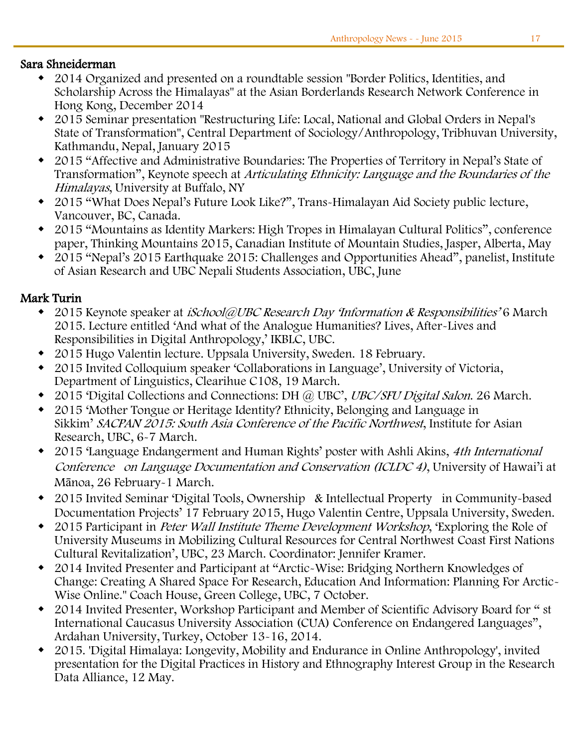#### Sara Shneiderman

- 2014 Organized and presented on a roundtable session "Border Politics, Identities, and Scholarship Across the Himalayas" at the Asian Borderlands Research Network Conference in Hong Kong, December 2014
- 2015 Seminar presentation "Restructuring Life: Local, National and Global Orders in Nepal's State of Transformation", Central Department of Sociology/Anthropology, Tribhuvan University, Kathmandu, Nepal, January 2015
- 2015 "Affective and Administrative Boundaries: The Properties of Territory in Nepal's State of Transformation", Keynote speech at Articulating Ethnicity: Language and the Boundaries of the Himalayas, University at Buffalo, NY
- 2015 "What Does Nepal's Future Look Like?", Trans-Himalayan Aid Society public lecture, Vancouver, BC, Canada.
- 2015 "Mountains as Identity Markers: High Tropes in Himalayan Cultural Politics", conference paper, Thinking Mountains 2015, Canadian Institute of Mountain Studies, Jasper, Alberta, May
- 2015 "Nepal's 2015 Earthquake 2015: Challenges and Opportunities Ahead", panelist, Institute of Asian Research and UBC Nepali Students Association, UBC, June

#### Mark Turin

- 2015 Keynote speaker at *iSchool@UBC Research Day 'Information & Responsibilities'* 6 March 2015. Lecture entitled 'And what of the Analogue Humanities? Lives, After-Lives and Responsibilities in Digital Anthropology,' IKBLC, UBC.
- 2015 Hugo Valentin lecture. Uppsala University, Sweden. 18 February.
- 2015 Invited Colloquium speaker 'Collaborations in Language', University of Victoria, Department of Linguistics, Clearihue C108, 19 March.
- 2015 'Digital Collections and Connections: DH @ UBC', UBC/SFU Digital Salon. 26 March.
- 2015 'Mother Tongue or Heritage Identity? Ethnicity, Belonging and Language in Sikkim' SACPAN 2015: South Asia Conference of the Pacific Northwest, Institute for Asian Research, UBC, 6-7 March.
- 2015 'Language Endangerment and Human Rights' poster with Ashli Akins, 4th International Conference on Language Documentation and Conservation (ICLDC 4), University of Hawai'i at Mānoa, 26 February-1 March.
- 2015 Invited Seminar 'Digital Tools, Ownership & Intellectual Property in Community-based Documentation Projects' 17 February 2015, Hugo Valentin Centre, Uppsala University, Sweden.
- 2015 Participant in *Peter Wall Institute Theme Development Workshop*, 'Exploring the Role of University Museums in Mobilizing Cultural Resources for Central Northwest Coast First Nations Cultural Revitalization', UBC, 23 March. Coordinator: Jennifer Kramer.
- 2014 Invited Presenter and Participant at "Arctic-Wise: Bridging Northern Knowledges of Change: Creating A Shared Space For Research, Education And Information: Planning For Arctic-Wise Online." Coach House, Green College, UBC, 7 October.
- 2014 Invited Presenter, Workshop Participant and Member of Scientific Advisory Board for " st International Caucasus University Association (CUA) Conference on Endangered Languages", Ardahan University, Turkey, October 13-16, 2014.
- 2015. 'Digital Himalaya: Longevity, Mobility and Endurance in Online Anthropology', invited presentation for the Digital Practices in History and Ethnography Interest Group in the Research Data Alliance, 12 May.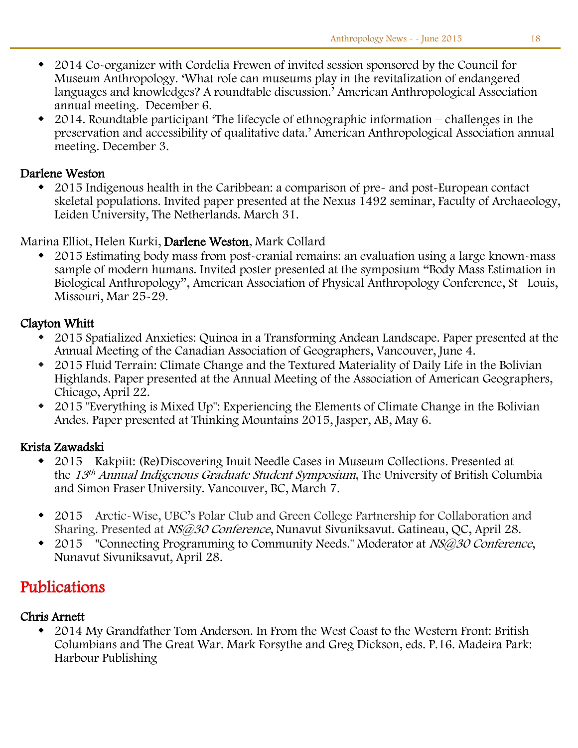- 2014 Co-organizer with Cordelia Frewen of invited session sponsored by the Council for Museum Anthropology. 'What role can museums play in the revitalization of endangered languages and knowledges? A roundtable discussion.' American Anthropological Association annual meeting. December 6.
- 2014. Roundtable participant 'The lifecycle of ethnographic information challenges in the preservation and accessibility of qualitative data.' American Anthropological Association annual meeting. December 3.

#### Darlene Weston

• 2015 Indigenous health in the Caribbean: a comparison of pre- and post-European contact skeletal populations. Invited paper presented at the Nexus 1492 seminar, Faculty of Archaeology, Leiden University, The Netherlands. March 31.

Marina Elliot, Helen Kurki, Darlene Weston, Mark Collard

 2015 Estimating body mass from post-cranial remains: an evaluation using a large known-mass sample of modern humans. Invited poster presented at the symposium "Body Mass Estimation in Biological Anthropology", American Association of Physical Anthropology Conference, St Louis, Missouri, Mar 25-29.

#### Clayton Whitt

- 2015 Spatialized Anxieties: Quinoa in a Transforming Andean Landscape. Paper presented at the Annual Meeting of the Canadian Association of Geographers, Vancouver, June 4.
- 2015 Fluid Terrain: Climate Change and the Textured Materiality of Daily Life in the Bolivian Highlands. Paper presented at the Annual Meeting of the Association of American Geographers, Chicago, April 22.
- 2015 "Everything is Mixed Up": Experiencing the Elements of Climate Change in the Bolivian Andes. Paper presented at Thinking Mountains 2015, Jasper, AB, May 6.

#### Krista Zawadski

- 2015 Kakpiit: (Re)Discovering Inuit Needle Cases in Museum Collections. Presented at the 13<sup>th</sup> Annual Indigenous Graduate Student Symposium, The University of British Columbia and Simon Fraser University. Vancouver, BC, March 7.
- 2015 Arctic-Wise, UBC's Polar Club and Green College Partnership for Collaboration and Sharing. Presented at NS@30 Conference, Nunavut Sivuniksavut. Gatineau, QC, April 28.
- 2015 "Connecting Programming to Community Needs." Moderator at NS@30 Conference, Nunavut Sivuniksavut, April 28.

# Publications

#### Chris Arnett

 2014 My Grandfather Tom Anderson. In From the West Coast to the Western Front: British Columbians and The Great War. Mark Forsythe and Greg Dickson, eds. P.16. Madeira Park: Harbour Publishing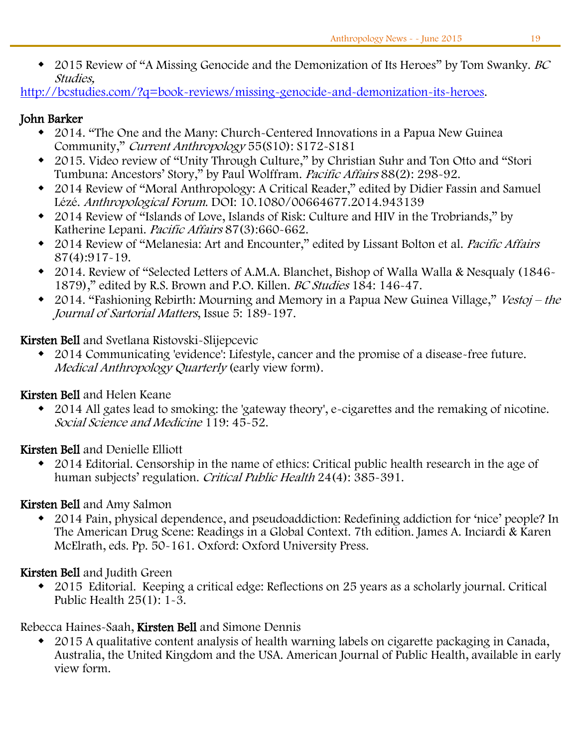• 2015 Review of "A Missing Genocide and the Demonization of Its Heroes" by Tom Swanky. BC Studies,

[http://bcstudies.com/?q=book-reviews/missing-genocide-and-demonization-its-heroes.](http://bcstudies.com/?q=book-reviews/missing-genocide-and-demonization-its-heroes)

#### John Barker

- 2014. "The One and the Many: Church-Centered Innovations in a Papua New Guinea Community," Current Anthropology 55(S10): S172-S181
- 2015. Video review of "Unity Through Culture," by Christian Suhr and Ton Otto and "Stori Tumbuna: Ancestors' Story," by Paul Wolffram. Pacific Affairs 88(2): 298-92.
- 2014 Review of "Moral Anthropology: A Critical Reader," edited by Didier Fassin and Samuel Lézé. Anthropological Forum. DOI: 10.1080/00664677.2014.943139
- 2014 Review of "Islands of Love, Islands of Risk: Culture and HIV in the Trobriands," by Katherine Lepani. Pacific Affairs 87(3):660-662.
- 2014 Review of "Melanesia: Art and Encounter," edited by Lissant Bolton et al. Pacific Affairs 87(4):917-19.
- 2014. Review of "Selected Letters of A.M.A. Blanchet, Bishop of Walla Walla & Nesqualy (1846- 1879)," edited by R.S. Brown and P.O. Killen. BC Studies 184: 146-47.
- 2014. "Fashioning Rebirth: Mourning and Memory in a Papua New Guinea Village," Vestoj the Journal of Sartorial Matters, Issue 5: 189-197.

Kirsten Bell and Svetlana Ristovski-Slijepcevic

 2014 Communicating 'evidence': Lifestyle, cancer and the promise of a disease-free future. Medical Anthropology Quarterly (early view form).

#### Kirsten Bell and Helen Keane

 2014 All gates lead to smoking: the 'gateway theory', e-cigarettes and the remaking of nicotine. Social Science and Medicine 119: 45-52.

Kirsten Bell and Denielle Elliott

 2014 Editorial. Censorship in the name of ethics: Critical public health research in the age of human subjects' regulation. Critical Public Health 24(4): 385-391.

#### Kirsten Bell and Amy Salmon

 2014 Pain, physical dependence, and pseudoaddiction: Redefining addiction for 'nice' people? In The American Drug Scene: Readings in a Global Context. 7th edition. James A. Inciardi & Karen McElrath, eds. Pp. 50-161. Oxford: Oxford University Press.

## Kirsten Bell and Judith Green

 2015 Editorial. Keeping a critical edge: Reflections on 25 years as a scholarly journal. Critical Public Health  $25(1)$ :  $1-3$ .

Rebecca Haines-Saah, Kirsten Bell and Simone Dennis

 2015 A qualitative content analysis of health warning labels on cigarette packaging in Canada, Australia, the United Kingdom and the USA. American Journal of Public Health, available in early view form.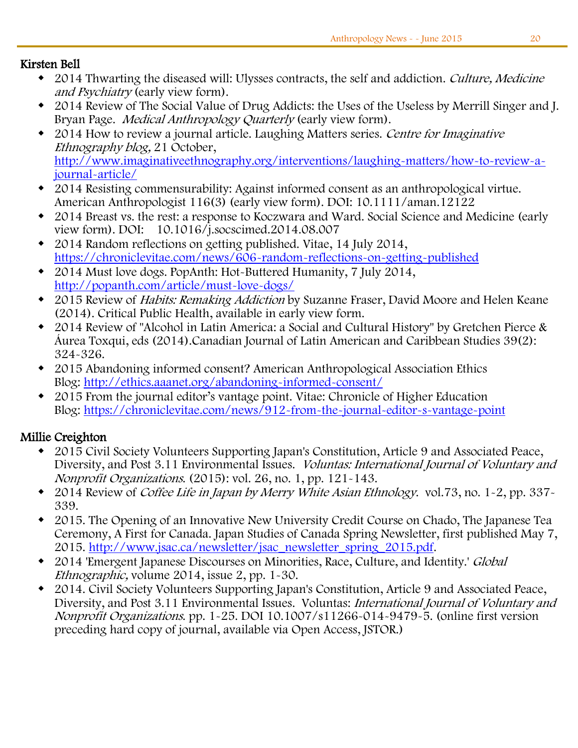#### Ī Kirsten Bell

- 2014 Thwarting the diseased will: Ulysses contracts, the self and addiction. Culture, Medicine and Psychiatry (early view form).
- 2014 Review of The Social Value of Drug Addicts: the Uses of the Useless by Merrill Singer and J. Bryan Page. Medical Anthropology Quarterly (early view form).
- 2014 How to review a journal article. Laughing Matters series. Centre for Imaginative Ethnography blog, 21 October, [http://www.imaginativeethnography.org/interventions/laughing-matters/how-to-review-a](http://www.imaginativeethnography.org/interventions/laughing-matters/how-to-review-a-journal-article/)[journal-article/](http://www.imaginativeethnography.org/interventions/laughing-matters/how-to-review-a-journal-article/)
- 2014 Resisting commensurability: Against informed consent as an anthropological virtue. American Anthropologist 116(3) (early view form). DOI: 10.1111/aman.12122
- 2014 Breast vs. the rest: a response to Koczwara and Ward. Social Science and Medicine (early view form). DOI: 10.1016/j.socscimed.2014.08.007
- 2014 Random reflections on getting published. Vitae, 14 July 2014, <https://chroniclevitae.com/news/606-random-reflections-on-getting-published>
- 2014 Must love dogs. PopAnth: Hot-Buttered Humanity, 7 July 2014, <http://popanth.com/article/must-love-dogs/>
- 2015 Review of Habits: Remaking Addiction by Suzanne Fraser, David Moore and Helen Keane (2014). Critical Public Health, available in early view form.
- 2014 Review of "Alcohol in Latin America: a Social and Cultural History" by Gretchen Pierce & Áurea Toxqui, eds (2014).Canadian Journal of Latin American and Caribbean Studies 39(2): 324-326.
- 2015 Abandoning informed consent? American Anthropological Association Ethics Blog: [http://ethics.aaanet.org/abandoning-informed-consent/](https://www.mail.ubc.ca/owa/Eleanore.Asuncion@ubc.ca/redir.aspx?C=kyZdrYONEU6QWx1u85pWJmuoVl6FVdII6oqQXb1mBJozXpc9kk-4rSYTjveaoXuMyEaCqOiWEUU.&URL=http%3a%2f%2fethics.aaanet.org%2fabandoning-informed-consent%2f)
- 2015 From the journal editor's vantage point. Vitae: Chronicle of Higher Education Blog: [https://chroniclevitae.com/news/912-from-the-journal-editor-s-vantage-point](https://www.mail.ubc.ca/owa/Eleanore.Asuncion@ubc.ca/redir.aspx?C=kyZdrYONEU6QWx1u85pWJmuoVl6FVdII6oqQXb1mBJozXpc9kk-4rSYTjveaoXuMyEaCqOiWEUU.&URL=https%3a%2f%2fchroniclevitae.com%2fnews%2f912-from-the-journal-editor-s-vantage-point)

#### Millie Creighton

- 2015 Civil Society Volunteers Supporting Japan's Constitution, Article 9 and Associated Peace, Diversity, and Post 3.11 Environmental Issues. Voluntas: International Journal of Voluntary and Nonprofit Organizations. (2015): vol. 26, no. 1, pp. 121-143.
- 2014 Review of *Coffee Life in Japan by Merry White Asian Ethnology*. vol.73, no. 1-2, pp. 337-339.
- 2015. The Opening of an Innovative New University Credit Course on Chado, The Japanese Tea Ceremony, A First for Canada. Japan Studies of Canada Spring Newsletter, first published May 7, 2015. [http://www.jsac.ca/newsletter/jsac\\_newsletter\\_spring\\_2015.pdf.](https://www.mail.ubc.ca/owa/redir.aspx?SURL=7ut_U_TkF5Ge4rviNn6cmiL9fkbfBYcK0mYVec54cBbKnV7M6nHSCGgAdAB0AHAAOgAvAC8AdwB3AHcALgBqAHMAYQBjAC4AYwBhAC8AbgBlAHcAcwBsAGUAdAB0AGUAcgAvAGoAcwBhAGMAXwBuAGUAdwBzAGwAZQB0AHQAZQByAF8AcwBwAHIAaQBuAGcAXwAyADAAMQA1AC4AcABkAGYA&URL=http%3a%2f%2fwww.jsac.ca%2fnewsletter%2fjsac_newsletter_spring_2015.pdf)
- 2014 'Emergent Japanese Discourses on Minorities, Race, Culture, and Identity.' Global Ethnographic, volume 2014, issue 2, pp. 1-30.
- 2014. Civil Society Volunteers Supporting Japan's Constitution, Article 9 and Associated Peace, Diversity, and Post 3.11 Environmental Issues. Voluntas: International Journal of Voluntary and Nonprofit Organizations. pp. 1-25. DOI 10.1007/s11266-014-9479-5. (online first version preceding hard copy of journal, available via Open Access, JSTOR.)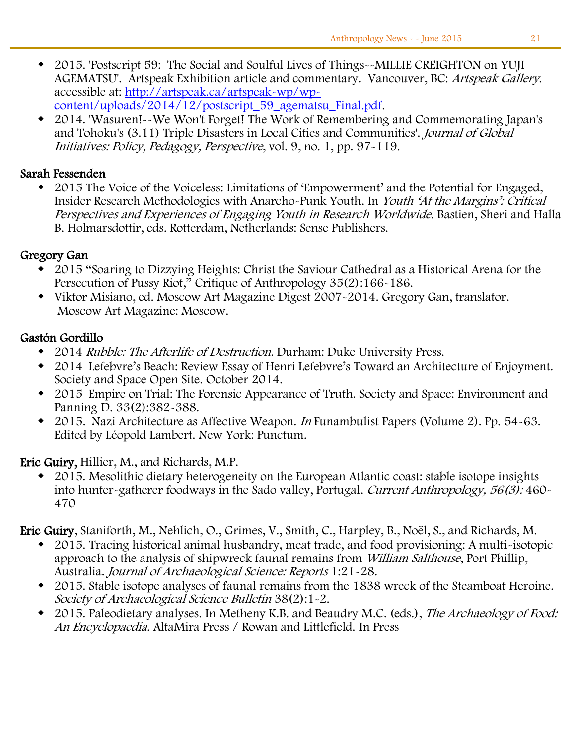- 2015. 'Postscript 59: The Social and Soulful Lives of Things--MILLIE CREIGHTON on YUJI AGEMATSU'. Artspeak Exhibition article and commentary. Vancouver, BC: Artspeak Gallery. accessible at: [http://artspeak.ca/artspeak-wp/wp](http://artspeak.ca/artspeak-wp/wp-content/uploads/2014/12/postscript_59_agematsu_Final.pdf)[content/uploads/2014/12/postscript\\_59\\_agematsu\\_Final.pdf.](http://artspeak.ca/artspeak-wp/wp-content/uploads/2014/12/postscript_59_agematsu_Final.pdf)
- 2014. 'Wasuren!--We Won't Forget! The Work of Remembering and Commemorating Japan's and Tohoku's (3.11) Triple Disasters in Local Cities and Communities'. Journal of Global Initiatives: Policy, Pedagogy, Perspective, vol. 9, no. 1, pp. 97-119.

#### Sarah Fessenden

 2015 The Voice of the Voiceless: Limitations of 'Empowerment' and the Potential for Engaged, Insider Research Methodologies with Anarcho-Punk Youth. In Youth 'At the Margins': Critical Perspectives and Experiences of Engaging Youth in Research Worldwide. Bastien, Sheri and Halla B. Holmarsdottir, eds. Rotterdam, Netherlands: Sense Publishers.

#### Gregory Gan

- 2015 "Soaring to Dizzying Heights: Christ the Saviour Cathedral as a Historical Arena for the Persecution of Pussy Riot," Critique of Anthropology 35(2):166-186.
- Viktor Misiano, ed. Moscow Art Magazine Digest 2007-2014. Gregory Gan, translator. Moscow Art Magazine: Moscow.

#### Gastón Gordillo

- 2014 Rubble: The Afterlife of Destruction. Durham: Duke University Press.
- 2014 Lefebvre's Beach: Review Essay of Henri Lefebvre's Toward an Architecture of Enjoyment. Society and Space Open Site. October 2014.
- 2015 Empire on Trial: The Forensic Appearance of Truth. Society and Space: Environment and Panning D. 33(2):382-388.
- 2015. Nazi Architecture as Affective Weapon. In Funambulist Papers (Volume 2). Pp. 54-63. Edited by Léopold Lambert. New York: Punctum.

Eric Guiry, Hillier, M., and Richards, M.P.

 2015. Mesolithic dietary heterogeneity on the European Atlantic coast: stable isotope insights into hunter-gatherer foodways in the Sado valley, Portugal. Current Anthropology, 56(3): 460-470

Eric Guiry, Staniforth, M., Nehlich, O., Grimes, V., Smith, C., Harpley, B., Noël, S., and Richards, M.

- 2015. Tracing historical animal husbandry, meat trade, and food provisioning: A multi-isotopic approach to the analysis of shipwreck faunal remains from William Salthouse, Port Phillip, Australia. Journal of Archaeological Science: Reports 1:21-28.
- 2015. Stable isotope analyses of faunal remains from the 1838 wreck of the Steamboat Heroine. Society of Archaeological Science Bulletin 38(2):1-2.
- 2015. Paleodietary analyses. In Metheny K.B. and Beaudry M.C. (eds.), The Archaeology of Food: An Encyclopaedia. AltaMira Press / Rowan and Littlefield. In Press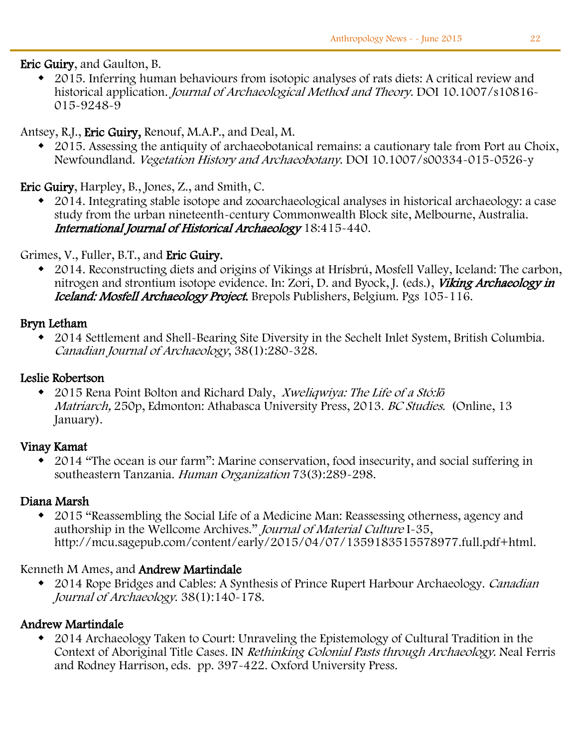Eric Guiry, and Gaulton, B.

 2015. Inferring human behaviours from isotopic analyses of rats diets: A critical review and historical application. Journal of Archaeological Method and Theory. DOI 10.1007/s10816-015-9248-9

#### Antsey, R.J., Eric Guiry, Renouf, M.A.P., and Deal, M.

 2015. Assessing the antiquity of archaeobotanical remains: a cautionary tale from Port au Choix, Newfoundland. Vegetation History and Archaeobotany. DOI 10.1007/s00334-015-0526-y

Eric Guiry, Harpley, B., Jones, Z., and Smith, C.

 2014. Integrating stable isotope and zooarchaeological analyses in historical archaeology: a case study from the urban nineteenth-century Commonwealth Block site, Melbourne, Australia. International Journal of Historical Archaeology 18:415-440.

#### Grimes, V., Fuller, B.T., and Eric Guiry.

 2014. Reconstructing diets and origins of Vikings at Hrísbrú, Mosfell Valley, Iceland: The carbon, nitrogen and strontium isotope evidence. In: Zori, D. and Byock, J. (eds.), *Viking Archaeology in* Iceland: Mosfell Archaeology Project. Brepols Publishers, Belgium. Pgs 105-116.

#### Bryn Letham

 2014 Settlement and Shell-Bearing Site Diversity in the Sechelt Inlet System, British Columbia. Canadian Journal of Archaeology, 38(1):280-328.

#### Leslie Robertson

 2015 Rena Point Bolton and Richard Daly, Xweliqwiya: The Life of a Stó:l*ō* Matriarch, 250p, Edmonton: Athabasca University Press, 2013. BC Studies. (Online, 13 January).

#### Vinay Kamat

 2014 "The ocean is our farm": Marine conservation, food insecurity, and social suffering in southeastern Tanzania. Human Organization 73(3):289-298.

#### Diana Marsh

 2015 "Reassembling the Social Life of a Medicine Man: Reassessing otherness, agency and authorship in the Wellcome Archives." Journal of Material Culture I-35, http://mcu.sagepub.com/content/early/2015/04/07/1359183515578977.full.pdf+html.

#### Kenneth M Ames, and Andrew Martindale

• 2014 Rope Bridges and Cables: A Synthesis of Prince Rupert Harbour Archaeology. Canadian Journal of Archaeology. 38(1):140-178.

#### Andrew Martindale

 2014 Archaeology Taken to Court: Unraveling the Epistemology of Cultural Tradition in the Context of Aboriginal Title Cases. IN Rethinking Colonial Pasts through Archaeology. Neal Ferris and Rodney Harrison, eds. pp. 397-422. Oxford University Press.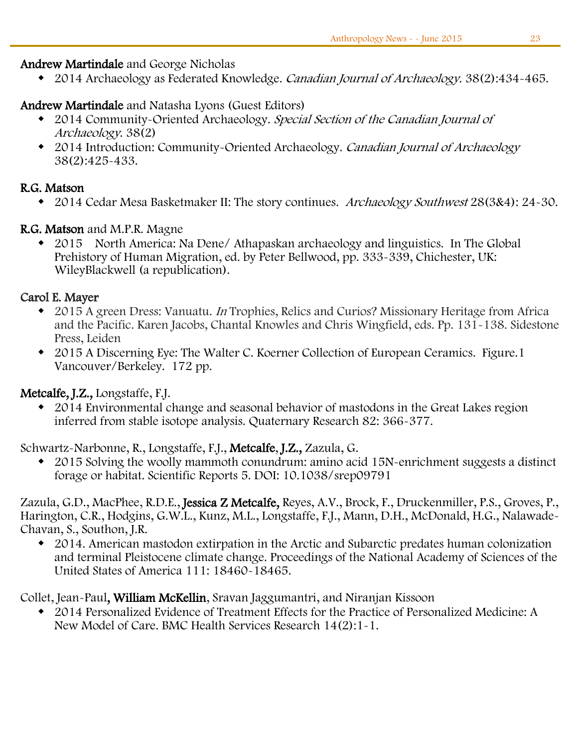#### Andrew Martindale and George Nicholas

• 2014 Archaeology as Federated Knowledge. Canadian Journal of Archaeology. 38(2):434-465.

#### Andrew Martindale and Natasha Lyons (Guest Editors)

- 2014 Community-Oriented Archaeology. Special Section of the Canadian Journal of Archaeology. 38(2)
- 2014 Introduction: Community-Oriented Archaeology. Canadian Journal of Archaeology 38(2):425-433.

#### R.G. Matson

• 2014 Cedar Mesa Basketmaker II: The story continues. Archaeology Southwest 28(3&4): 24-30.

#### R.G. Matson and M.P.R. Magne

 2015 North America: Na Dene/ Athapaskan archaeology and linguistics. In The Global Prehistory of Human Migration, ed. by Peter Bellwood, pp. 333-339, Chichester, UK: WileyBlackwell (a republication).

#### Carol E. Mayer

- 2015 A green Dress: Vanuatu. In Trophies, Relics and Curios? Missionary Heritage from Africa and the Pacific. Karen Jacobs, Chantal Knowles and Chris Wingfield, eds. Pp. 131-138. Sidestone Press, Leiden
- 2015 A Discerning Eye: The Walter C. Koerner Collection of European Ceramics. Figure.1 Vancouver/Berkeley. 172 pp.

#### Metcalfe, J.Z., Longstaffe, F.J.

 2014 Environmental change and seasonal behavior of mastodons in the Great Lakes region inferred from stable isotope analysis. Quaternary Research 82: 366-377.

Schwartz-Narbonne, R., Longstaffe, F.J., Metcalfe, J.Z., Zazula, G.

 2015 Solving the woolly mammoth conundrum: amino acid 15N-enrichment suggests a distinct forage or habitat. Scientific Reports 5. DOI: 10.1038/srep09791

Zazula, G.D., MacPhee, R.D.E., Jessica Z Metcalfe, Reyes, A.V., Brock, F., Druckenmiller, P.S., Groves, P., Harington, C.R., Hodgins, G.W.L., Kunz, M.L., Longstaffe, F.J., Mann, D.H., McDonald, H.G., Nalawade-Chavan, S., Southon, J.R.

 2014. American mastodon extirpation in the Arctic and Subarctic predates human colonization and terminal Pleistocene climate change. Proceedings of the National Academy of Sciences of the United States of America 111: 18460-18465.

Collet, Jean-Paul, William McKellin, Sravan Jaggumantri, and Niranjan Kissoon

 2014 Personalized Evidence of Treatment Effects for the Practice of Personalized Medicine: A New Model of Care. BMC Health Services Research 14(2):1-1.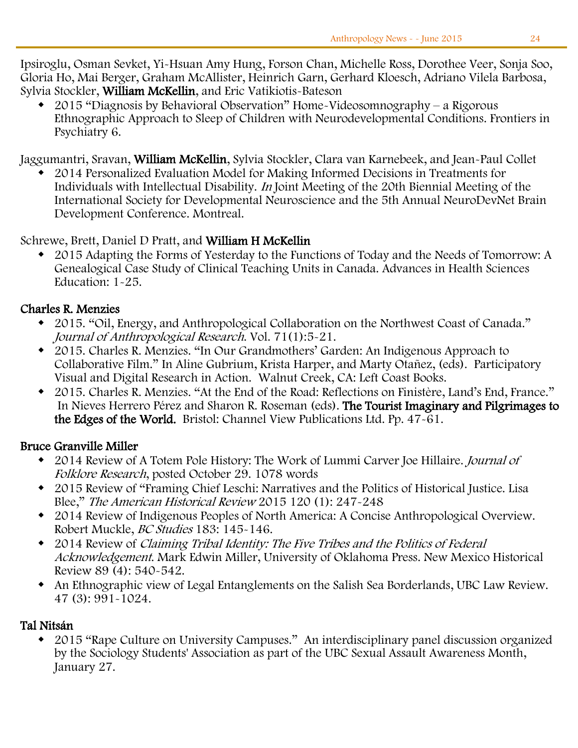Ipsiroglu, Osman Sevket, Yi-Hsuan Amy Hung, Forson Chan, Michelle Ross, Dorothee Veer, Sonja Soo, Gloria Ho, Mai Berger, Graham McAllister, Heinrich Garn, Gerhard Kloesch, Adriano Vilela Barbosa, Sylvia Stockler, William McKellin, and Eric Vatikiotis-Bateson

 2015 "Diagnosis by Behavioral Observation" Home-Videosomnography – a Rigorous Ethnographic Approach to Sleep of Children with Neurodevelopmental Conditions. Frontiers in Psychiatry 6.

Jaggumantri, Sravan, William McKellin, Sylvia Stockler, Clara van Karnebeek, and Jean-Paul Collet

 2014 Personalized Evaluation Model for Making Informed Decisions in Treatments for Individuals with Intellectual Disability. In Joint Meeting of the 20th Biennial Meeting of the International Society for Developmental Neuroscience and the 5th Annual NeuroDevNet Brain Development Conference. Montreal.

#### Schrewe, Brett, Daniel D Pratt, and William H McKellin

 2015 Adapting the Forms of Yesterday to the Functions of Today and the Needs of Tomorrow: A Genealogical Case Study of Clinical Teaching Units in Canada. Advances in Health Sciences Education: 1-25.

#### Charles R. Menzies

- 2015. "Oil, Energy, and Anthropological Collaboration on the Northwest Coast of Canada." Journal of Anthropological Research. Vol. 71(1):5-21.
- 2015. Charles R. Menzies. "In Our Grandmothers' Garden: An Indigenous Approach to Collaborative Film." In Aline Gubrium, Krista Harper, and Marty Otañez, (eds). Participatory Visual and Digital Research in Action. Walnut Creek, CA: Left Coast Books.
- 2015. Charles R. Menzies. "At the End of the Road: Reflections on Finistère, Land's End, France." In Nieves Herrero Pérez and Sharon R. Roseman (eds). The Tourist Imaginary and Pilgrimages to the Edges of the World. Bristol: Channel View Publications Ltd. Pp. 47-61.

#### Bruce Granville Miller

- 2014 Review of A Totem Pole History: The Work of Lummi Carver Joe Hillaire. Journal of Folklore Research, posted October 29. 1078 words
- 2015 Review of "Framing Chief Leschi: Narratives and the Politics of Historical Justice. Lisa Blee," The American Historical Review 2015 120 (1): 247-248
- 2014 Review of Indigenous Peoples of North America: A Concise Anthropological Overview. Robert Muckle, BC Studies 183: 145-146.
- 2014 Review of Claiming Tribal Identity: The Five Tribes and the Politics of Federal Acknowledgement. Mark Edwin Miller, University of Oklahoma Press. New Mexico Historical Review 89 (4): 540-542.
- An Ethnographic view of Legal Entanglements on the Salish Sea Borderlands, UBC Law Review. 47 (3): 991-1024.

#### Tal Nitsán

 2015 "Rape Culture on University Campuses." An interdisciplinary panel discussion organized by the Sociology Students' Association as part of the UBC Sexual Assault Awareness Month, January 27.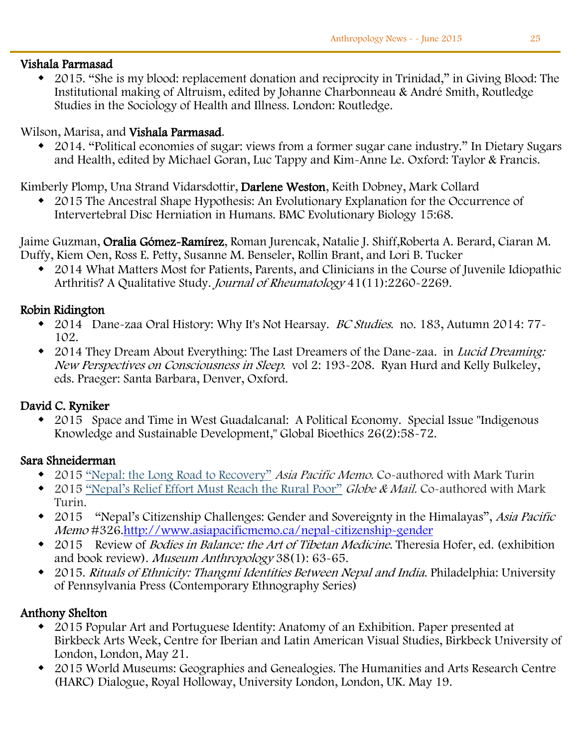#### $\overline{a}$ Vishala Parmasad

 2015. "She is my blood: replacement donation and reciprocity in Trinidad," in Giving Blood: The Institutional making of Altruism, edited by Johanne Charbonneau & André Smith, Routledge Studies in the Sociology of Health and Illness. London: Routledge.

#### Wilson, Marisa, and Vishala Parmasad.

 2014. "Political economies of sugar: views from a former sugar cane industry." In Dietary Sugars and Health, edited by Michael Goran, Luc Tappy and Kim-Anne Le. Oxford: Taylor & Francis.

Kimberly Plomp, Una Strand Vidarsdottir, Darlene Weston, Keith Dobney, Mark Collard

 2015 The Ancestral Shape Hypothesis: An Evolutionary Explanation for the Occurrence of Intervertebral Disc Herniation in Humans. BMC Evolutionary Biology 15:68.

Jaime Guzman, Oralia Gómez-Ramírez, Roman Jurencak, Natalie J. Shiff,Roberta A. Berard, Ciaran M. Duffy, Kiem Oen, Ross E. Petty, Susanne M. Benseler, Rollin Brant, and Lori B. Tucker

 2014 What Matters Most for Patients, Parents, and Clinicians in the Course of Juvenile Idiopathic Arthritis? A Qualitative Study. Journal of Rheumatology 41(11):2260-2269.

#### Robin Ridington

- 2014 Dane-zaa Oral History: Why It's Not Hearsay. BC Studies. no. 183, Autumn 2014: 77-102.
- 2014 They Dream About Everything: The Last Dreamers of the Dane-zaa. in *Lucid Dreaming:* New Perspectives on Consciousness in Sleep. vol 2: 193-208. Ryan Hurd and Kelly Bulkeley, eds. Praeger: Santa Barbara, Denver, Oxford.

#### David C. Ryniker

 2015 Space and Time in West Guadalcanal: A Political Economy. Special Issue "Indigenous Knowledge and Sustainable Development," Global Bioethics 26(2):58-72.

#### Sara Shneiderman

- 2015 ["Nepal: the Long Road to Recovery"](https://www.mail.ubc.ca/owa/Anth.Head@ubc.ca/redir.aspx?SURL=vSiL9kQ74Qm4JMBar35mlQbi-m4xjPu6r__f6ab5BL7aPLDJ53zSCGgAdAB0AHAAOgAvAC8AdwB3AHcALgBhAHMAaQBhAHAAYQBjAGkAZgBpAGMAbQBlAG0AbwAuAGMAYQAvAG4AZQBwAGEAbAAtAHIAZQBjAG8AdgBlAHIAeQA.&URL=http%3a%2f%2fwww.asiapacificmemo.ca%2fnepal-recovery) *Asia Pacific Memo.* Co-authored with Mark Turin
- 2015 ["Nepal's Relief Effort Must Reach the Rural Poor"](https://www.mail.ubc.ca/owa/Anth.Head@ubc.ca/redir.aspx?SURL=olS4so22bGvj4ykDC-F_IN7nwfIPaJX9PYiX5tK5hE_aPLDJ53zSCGgAdAB0AHAAOgAvAC8AdwB3AHcALgB0AGgAZQBnAGwAbwBiAGUAYQBuAGQAbQBhAGkAbAAuAGMAbwBtAC8AZwBsAG8AYgBlAC0AZABlAGIAYQB0AGUALwBuAGUAcABhAGwAcwAtAHIAZQBsAGkAZQBmAC0AZQBmAGYAbwByAHQALQBtAHUAcwB0AC0AcgBlAGEAYwBoAC0AdABoAGUALQByAHUAcgBhAGwALQBwAG8AbwByAC8AYQByAHQAaQBjAGwAZQAyADQAMQAzADUAOQA3ADMALwA.&URL=http%3a%2f%2fwww.theglobeandmail.com%2fglobe-debate%2fnepals-relief-effort-must-reach-the-rural-poor%2farticle24135973%2f) *Globe & Mail.* Co-authored with Mark Turin.
- 2015 "Nepal's Citizenship Challenges: Gender and Sovereignty in the Himalayas", Asia Pacific Memo #326[.http://www.asiapacificmemo.ca/nepal-citizenship-gender](https://www.mail.ubc.ca/owa/Anth.Head@ubc.ca/redir.aspx?SURL=-Vvepg3kzv515b6DJPSENOd3QxIPqehZsNDCfuctmkDaPLDJ53zSCGgAdAB0AHAAOgAvAC8AdwB3AHcALgBhAHMAaQBhAHAAYQBjAGkAZgBpAGMAbQBlAG0AbwAuAGMAYQAvAG4AZQBwAGEAbAAtAGMAaQB0AGkAegBlAG4AcwBoAGkAcAAtAGcAZQBuAGQAZQByAA..&URL=http%3a%2f%2fwww.asiapacificmemo.ca%2fnepal-citizenship-gender)
- 2015 Review of *Bodies in Balance: the Art of Tibetan Medicine*. Theresia Hofer, ed. (exhibition and book review). Museum Anthropology 38(1): 63-65.
- 2015. Rituals of Ethnicity: Thangmi Identities Between Nepal and India. Philadelphia: University of Pennsylvania Press (Contemporary Ethnography Series)

#### Anthony Shelton

- 2015 Popular Art and Portuguese Identity: Anatomy of an Exhibition. Paper presented at Birkbeck Arts Week, Centre for Iberian and Latin American Visual Studies, Birkbeck University of London, London, May 21.
- 2015 World Museums: Geographies and Genealogies. The Humanities and Arts Research Centre (HARC) Dialogue, Royal Holloway, University London, London, UK. May 19.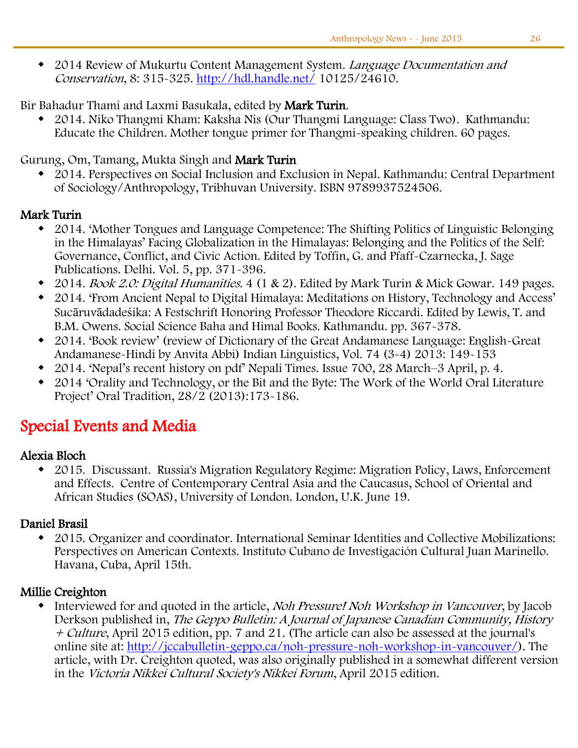2014 Review of Mukurtu Content Management System. Language Documentation and Conservation, 8: 315-325.<http://hdl.handle.net/> 10125/24610.

Bir Bahadur Thami and Laxmi Basukala, edited by Mark Turin.

 2014. Niko Thangmi Kham: Kaksha Nis (Our Thangmi Language: Class Two). Kathmandu: Educate the Children. Mother tongue primer for Thangmi-speaking children. 60 pages.

#### Gurung, Om, Tamang, Mukta Singh and Mark Turin

 2014. Perspectives on Social Inclusion and Exclusion in Nepal. Kathmandu: Central Department of Sociology/Anthropology, Tribhuvan University. ISBN 9789937524506.

#### Mark Turin

- 2014. 'Mother Tongues and Language Competence: The Shifting Politics of Linguistic Belonging in the Himalayas' Facing Globalization in the Himalayas: Belonging and the Politics of the Self: Governance, Conflict, and Civic Action. Edited by Toffin, G. and Pfaff-Czarnecka, J. Sage Publications. Delhi. Vol. 5, pp. 371-396.
- 2014. Book 2.0: Digital Humanities. 4 (1 & 2). Edited by Mark Turin & Mick Gowar. 149 pages.
- 2014. 'From Ancient Nepal to Digital Himalaya: Meditations on History, Technology and Access' Sucāruvādadeśika: A Festschrift Honoring Professor Theodore Riccardi. Edited by Lewis, T. and B.M. Owens. Social Science Baha and Himal Books. Kathmandu. pp. 367-378.
- 2014. 'Book review' (review of Dictionary of the Great Andamanese Language: English-Great Andamanese-Hindi by Anvita Abbi) Indian Linguistics, Vol. 74 (3-4) 2013: 149-153
- 2014. 'Nepal's recent history on pdf' Nepali Times. Issue 700, 28 March–3 April, p. 4.
- 2014 'Orality and Technology, or the Bit and the Byte: The Work of the World Oral Literature Project' Oral Tradition, 28/2 (2013):173-186.

# Special Events and Media

#### Alexia Bloch

 2015. Discussant. Russia's Migration Regulatory Regime: Migration Policy, Laws, Enforcement and Effects. Centre of Contemporary Central Asia and the Caucasus, School of Oriental and African Studies (SOAS), University of London. London, U.K. June 19.

#### Daniel Brasil

 2015. Organizer and coordinator. International Seminar Identities and Collective Mobilizations: Perspectives on American Contexts. Instituto Cubano de Investigación Cultural Juan Marinello. Havana, Cuba, April 15th.

#### Millie Creighton

• Interviewed for and quoted in the article, Noh Pressure! Noh Workshop in Vancouver, by Jacob Derkson published in, The Geppo Bulletin: A Journal of Japanese Canadian Community, History + Culture, April 2015 edition, pp. 7 and 21. (The article can also be assessed at the journal's online site at: [http://jccabulletin-geppo.ca/noh-pressure-noh-workshop-in-vancouver/\)](https://www.mail.ubc.ca/owa/Anth.Head@ubc.ca/redir.aspx?SURL=emy1xKsYmCcazKydqWK_DdO4pn3cpnaZ8-hrXinUOqb7CL-YMnvSCGgAdAB0AHAAOgAvAC8AagBjAGMAYQBiAHUAbABsAGUAdABpAG4ALQBnAGUAcABwAG8ALgBjAGEALwBuAG8AaAAtAHAAcgBlAHMAcwB1AHIAZQAtAG4AbwBoAC0AdwBvAHIAawBzAGgAbwBwAC0AaQBuAC0AdgBhAG4AYwBvAHUAdgBlAHIALwA.&URL=http%3a%2f%2fjccabulletin-geppo.ca%2fnoh-pressure-noh-workshop-in-vancouver%2f). The article, with Dr. Creighton quoted, was also originally published in a somewhat different version in the Victoria Nikkei Cultural Society's Nikkei Forum, April 2015 edition.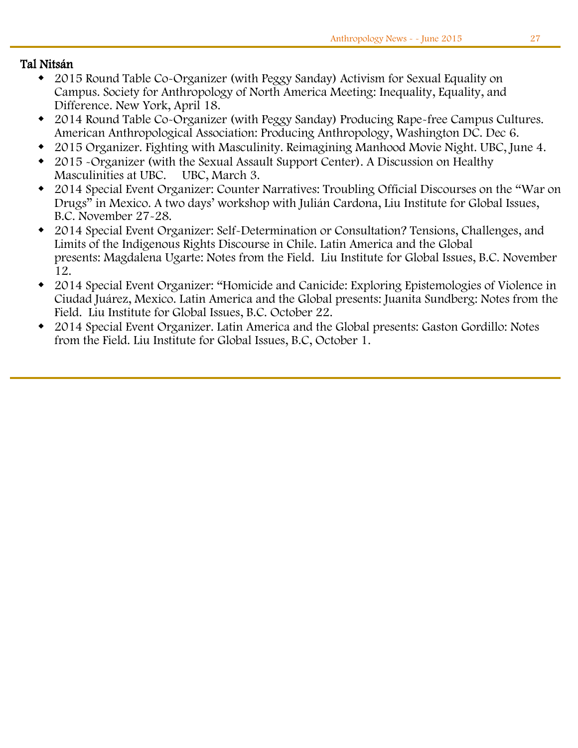#### Tal Nitsán

- 2015 Round Table Co-Organizer (with Peggy Sanday) Activism for Sexual Equality on Campus. Society for Anthropology of North America Meeting: Inequality, Equality, and Difference. New York, April 18.
- 2014 Round Table Co-Organizer (with Peggy Sanday) Producing Rape-free Campus Cultures. American Anthropological Association: Producing Anthropology, Washington DC. Dec 6.
- 2015 Organizer. Fighting with Masculinity. Reimagining Manhood Movie Night. UBC, June 4.
- 2015 -Organizer (with the Sexual Assault Support Center). A Discussion on Healthy Masculinities at UBC. UBC, March 3.
- 2014 Special Event Organizer: Counter Narratives: Troubling Official Discourses on the "War on Drugs" in Mexico. A two days' workshop with Julián Cardona, Liu Institute for Global Issues, B.C. November 27-28.
- 2014 Special Event Organizer: Self-Determination or Consultation? Tensions, Challenges, and Limits of the Indigenous Rights Discourse in Chile. Latin America and the Global presents: Magdalena Ugarte: Notes from the Field. Liu Institute for Global Issues, B.C. November 12.
- 2014 Special Event Organizer: "Homicide and Canicide: Exploring Epistemologies of Violence in Ciudad Juárez, Mexico. Latin America and the Global presents: Juanita Sundberg: Notes from the Field. Liu Institute for Global Issues, B.C. October 22.
- 2014 Special Event Organizer. Latin America and the Global presents: Gaston Gordillo: Notes from the Field. Liu Institute for Global Issues, B.C, October 1.